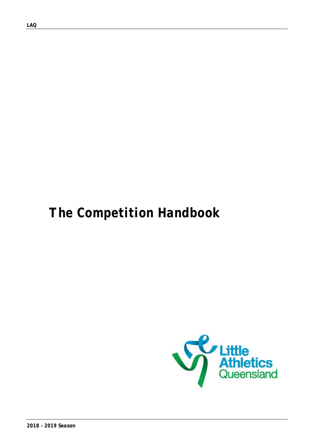*LAQ* 

# *The Competition Handbook*

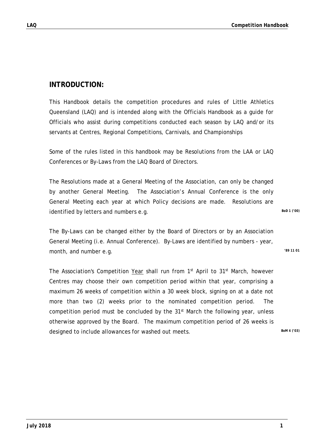### **INTRODUCTION:**

This Handbook details the competition procedures and rules of Little Athletics Queensland (LAQ) and is intended along with the Officials Handbook as a guide for Officials who assist during competitions conducted each season by LAQ and/or its servants at Centres, Regional Competitions, Carnivals, and Championships

Some of the rules listed in this handbook may be Resolutions from the LAA or LAQ Conferences or By-Laws from the LAQ Board of Directors.

The Resolutions made at a General Meeting of the Association, can only be changed by another General Meeting. The Association's Annual Conference is the only General Meeting each year at which Policy decisions are made. Resolutions are identified by letters and numbers e.g. **BoD** 1 ('00)

The By-Laws can be changed either by the Board of Directors or by an Association General Meeting (i.e. Annual Conference). By-Laws are identified by numbers - year, month, and number e.g. *'89 11 01*

The Association's Competition Year shall run from 1<sup>st</sup> April to 31<sup>st</sup> March, however Centres may choose their own competition period within that year, comprising a maximum 26 weeks of competition within a 30 week block, signing on at a date not more than two (2) weeks prior to the nominated competition period. The competition period must be concluded by the  $31<sup>st</sup>$  March the following year, unless otherwise approved by the Board. The maximum competition period of 26 weeks is designed to include allowances for washed out meets.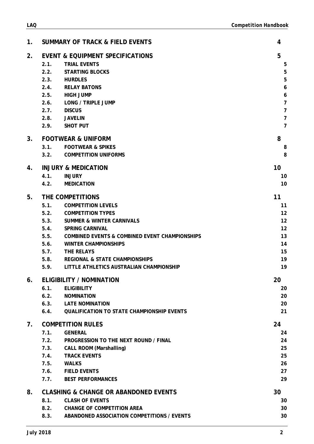| 1.             | <b>SUMMARY OF TRACK &amp; FIELD EVENTS</b>                                                                                                                                                                                                                                                                                                                                                                   | 4                                                                                                                                |
|----------------|--------------------------------------------------------------------------------------------------------------------------------------------------------------------------------------------------------------------------------------------------------------------------------------------------------------------------------------------------------------------------------------------------------------|----------------------------------------------------------------------------------------------------------------------------------|
| 2.             | <b>EVENT &amp; EQUIPMENT SPECIFICATIONS</b><br>2.1.<br><b>TRIAL EVENTS</b><br>2.2.<br><b>STARTING BLOCKS</b><br>2.3.<br><b>HURDLES</b><br>2.4. RELAY BATONS<br>2.5. HIGH JUMP<br>2.6. LONG / TRIPLE JUMP<br><b>DISCUS</b><br>2.7.<br>2.8.<br><b>JAVELIN</b><br>2.9. SHOT PUT                                                                                                                                 | 5<br>5<br>5<br>5<br>$\boldsymbol{6}$<br>$\boldsymbol{6}$<br>$\overline{7}$<br>$\overline{7}$<br>$\overline{7}$<br>$\overline{7}$ |
| 3 <sub>1</sub> | <b>FOOTWEAR &amp; UNIFORM</b><br>3.1.<br><b>FOOTWEAR &amp; SPIKES</b><br>3.2.<br><b>COMPETITION UNIFORMS</b>                                                                                                                                                                                                                                                                                                 | 8<br>8<br>8                                                                                                                      |
| 4.             | <b>INJURY &amp; MEDICATION</b><br>4.1.<br><b>INJURY</b><br>4.2.<br><b>MEDICATION</b>                                                                                                                                                                                                                                                                                                                         | 10<br>10<br>10                                                                                                                   |
| 5.             | THE COMPETITIONS<br>5.1.<br><b>COMPETITION LEVELS</b><br>5.2. COMPETITION TYPES<br>5.3.<br><b>SUMMER &amp; WINTER CARNIVALS</b><br><b>SPRING CARNIVAL</b><br>5.4.<br>5.5.<br><b>COMBINED EVENTS &amp; COMBINED EVENT CHAMPIONSHIPS</b><br><b>WINTER CHAMPIONSHIPS</b><br>5.6.<br>5.7.<br>THE RELAYS<br>5.8.<br><b>REGIONAL &amp; STATE CHAMPIONSHIPS</b><br>5.9.<br>LITTLE ATHLETICS AUSTRALIAN CHAMPIONSHIP | 11<br>11<br>12<br>12<br>12<br>13<br>14<br>15<br>19<br>19                                                                         |
| 6.             | <b>ELIGIBILITY / NOMINATION</b><br>6.1.<br><b>ELIGIBILITY</b><br>6.2. NOMINATION<br>6.3. LATE NOMINATION<br>6.4. QUALIFICATION TO STATE CHAMPIONSHIP EVENTS                                                                                                                                                                                                                                                  | 20<br>20<br>20<br>20<br>21                                                                                                       |
| 7.             | <b>COMPETITION RULES</b><br>7.1.<br><b>GENERAL</b><br>7.2.<br>PROGRESSION TO THE NEXT ROUND / FINAL<br>7.3.<br><b>CALL ROOM (Marshalling)</b><br>7.4. TRACK EVENTS<br>7.5.<br><b>WALKS</b><br>7.6. FIELD EVENTS<br>7.7.<br><b>BEST PERFORMANCES</b>                                                                                                                                                          | 24<br>24<br>24<br>25<br>25<br>26<br>27<br>29                                                                                     |
| 8.             | <b>CLASHING &amp; CHANGE OR ABANDONED EVENTS</b><br>8.1.<br><b>CLASH OF EVENTS</b><br>8.2.<br><b>CHANGE OF COMPETITION AREA</b><br>8.3. ABANDONED ASSOCIATION COMPETITIONS / EVENTS                                                                                                                                                                                                                          | 30<br>30<br>30<br>30                                                                                                             |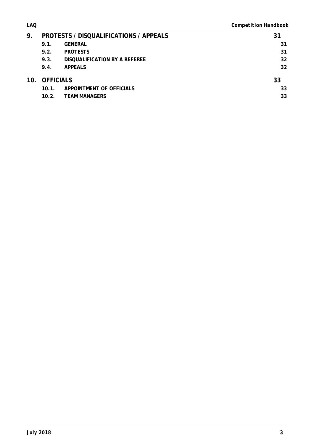| <b>LAQ</b> |               |                                               | <b>Competition Handbook</b> |
|------------|---------------|-----------------------------------------------|-----------------------------|
| 9.         |               | <b>PROTESTS / DISQUALIFICATIONS / APPEALS</b> | 31                          |
|            | 9.1.          | <b>GENERAL</b>                                | 31                          |
|            | 9.2.          | <b>PROTESTS</b>                               | 31                          |
|            | 9.3.          | DISQUALIFICATION BY A REFEREE                 | 32                          |
|            | 9.4.          | <b>APPEALS</b>                                | 32                          |
|            | 10. OFFICIALS |                                               | 33                          |
|            | 10.1.         | APPOINTMENT OF OFFICIALS                      | 33                          |
|            | 10.2.         | <b>TEAM MANAGERS</b>                          | 33                          |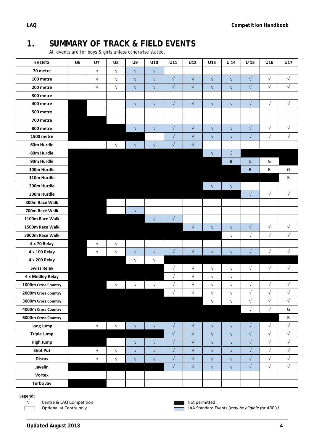# **1. SUMMARY OF TRACK & FIELD EVENTS**

All events are for boys & girls unless otherwise stated.

| <b>EVENTS</b>       | U <sub>6</sub> | U <sub>7</sub> | U8         | U9                   | U10                  | U11                  | U12                  | U13        | U <sub>14</sub>      | U <sub>15</sub>      | U16                  | U17        |
|---------------------|----------------|----------------|------------|----------------------|----------------------|----------------------|----------------------|------------|----------------------|----------------------|----------------------|------------|
| 70 metre            |                | $\sqrt{}$      | $\sqrt{ }$ | $\sqrt{}$            | $\sqrt{}$            |                      |                      |            |                      |                      |                      |            |
| 100 metre           |                | $\sqrt{}$      | $\sqrt{ }$ | $\sqrt{}$            | $\sqrt{}$            | $\sqrt{\phantom{a}}$ | $\sqrt{}$            | $\sqrt{}$  | $\sqrt{}$            | $\sqrt{}$            | $\sqrt{ }$           | $\sqrt{}$  |
| 200 metre           |                | $\sqrt{}$      | $\sqrt{}$  | $\sqrt{}$            | $\sqrt{}$            | $\sqrt{ }$           | $\sqrt{}$            | $\sqrt{ }$ | $\sqrt{}$            | $\sqrt{}$            | $\sqrt{}$            | $\sqrt{}$  |
| 300 metre           |                |                |            |                      |                      |                      |                      |            |                      |                      |                      |            |
| 400 metre           |                |                |            | $\sqrt{}$            | $\sqrt{ }$           | $\sqrt{}$            | $\sqrt{}$            | $\sqrt{ }$ | $\sqrt{ }$           | $\sqrt{ }$           | $\sqrt{}$            | $\sqrt{}$  |
| 500 metre           |                |                |            |                      |                      |                      |                      |            |                      |                      |                      |            |
| 700 metre           |                |                |            |                      |                      |                      |                      |            |                      |                      |                      |            |
| 800 metre           |                |                |            | $\sqrt{ }$           | $\sqrt{ }$           | $\sqrt{ }$           | $\sqrt{}$            | $\sqrt{ }$ | $\sqrt{}$            | $\sqrt{\phantom{a}}$ | $\sqrt{}$            | $\sqrt{}$  |
| <b>1500 metre</b>   |                |                |            |                      |                      | $\sqrt{ }$           | $\sqrt{}$            | $\sqrt{}$  | $\sqrt{}$            | $\sqrt{ }$           | $\sqrt{}$            | $\sqrt{}$  |
| 60m Hurdle          |                |                | $\sqrt{}$  | $\sqrt{ }$           | $\sqrt{\phantom{a}}$ | $\sqrt{}$            | $\sqrt{}$            |            |                      |                      |                      |            |
| 80m Hurdle          |                |                |            |                      |                      |                      |                      | $\sqrt{}$  | ${\mathsf G}$        |                      |                      |            |
| 90m Hurdle          |                |                |            |                      |                      |                      |                      |            | B                    | G                    | G                    |            |
| 100m Hurdle         |                |                |            |                      |                      |                      |                      |            |                      | B                    | B                    | G          |
| 110m Hurdle         |                |                |            |                      |                      |                      |                      |            |                      |                      |                      | В          |
| 200m Hurdle         |                |                |            |                      |                      |                      |                      | $\sqrt{ }$ | $\sqrt{}$            |                      |                      |            |
| 300m Hurdle         |                |                |            |                      |                      |                      |                      |            |                      | $\sqrt{}$            | $\sqrt{}$            | $\sqrt{}$  |
| 300m Race Walk      |                |                |            |                      |                      |                      |                      |            |                      |                      |                      |            |
| 700m Race Walk      |                |                |            | $\sqrt{ }$           |                      |                      |                      |            |                      |                      |                      |            |
| 1100m Race Walk     |                |                |            |                      | $\sqrt{ }$           | $\sqrt{ }$           |                      |            |                      |                      |                      |            |
| 1500m Race Walk     |                |                |            |                      |                      |                      | $\sqrt{}$            | $\sqrt{ }$ | $\sqrt{ }$           | $\sqrt{\phantom{a}}$ | $\sqrt{}$            | $\sqrt{}$  |
| 3000m Race Walk     |                |                |            |                      |                      |                      |                      |            | $\sqrt{}$            | $\sqrt{}$            | $\sqrt{}$            | $\sqrt{}$  |
| 4 x 70 Relay        |                | $\sqrt{}$      | $\sqrt{}$  |                      |                      |                      |                      |            |                      |                      |                      |            |
| 4 x 100 Relay       |                | $\sqrt{ }$     | $\sqrt{ }$ | $\sqrt{ }$           | $\sqrt{ }$           | $\sqrt{}$            | $\sqrt{ }$           | $\sqrt{}$  | $\sqrt{ }$           | $\sqrt{ }$           | $\sqrt{}$            | $\sqrt{}$  |
| 4 x 200 Relay       |                |                |            | $\sqrt{}$            | $\sqrt{}$            |                      |                      |            |                      |                      |                      |            |
| <b>Swiss Relay</b>  |                |                |            |                      |                      | $\sqrt{}$            | $\sqrt{}$            | $\sqrt{}$  | $\sqrt{ }$           | $\sqrt{}$            | $\sqrt{ }$           | $\sqrt{}$  |
| 4 x Medley Relay    |                |                |            |                      |                      | $\sqrt{}$            | $\sqrt{}$            | $\sqrt{}$  | $\sqrt{}$            |                      |                      |            |
| 1000m Cross Country |                |                | $\sqrt{}$  | $\sqrt{ }$           | $\sqrt{ }$           | $\sqrt{}$            | $\sqrt{}$            | $\sqrt{}$  | $\sqrt{}$            | $\sqrt{}$            | $\sqrt{}$            | $\sqrt{}$  |
| 2000m Cross Country |                |                |            |                      |                      | $\sqrt{\phantom{a}}$ | $\sqrt{\phantom{a}}$ | $\sqrt{}$  | $\sqrt{}$            | $\sqrt{\phantom{a}}$ | $\sqrt{\phantom{a}}$ | $\sqrt{ }$ |
| 3000m Cross Country |                |                |            |                      |                      |                      |                      | $\sqrt{ }$ | $\sqrt{}$            | $\sqrt{\phantom{a}}$ | $\sqrt{ }$           | $\sqrt{ }$ |
| 4000m Cross Country |                |                |            |                      |                      |                      |                      |            |                      | $\sqrt{\phantom{a}}$ | $\sqrt{}$            | G          |
| 6000m Cross Country |                |                |            |                      |                      |                      |                      |            |                      |                      |                      | B          |
| Long Jump           |                | $\sqrt{}$      | $\sqrt{ }$ | $\sqrt{2}$           | $\sqrt{}$            | $\sqrt{\phantom{a}}$ | $\sqrt{2}$           | $\sqrt{ }$ | $\sqrt{\phantom{a}}$ | $\sqrt{\phantom{a}}$ | $\sqrt{ }$           | $\sqrt{}$  |
| <b>Triple Jump</b>  |                |                |            |                      |                      | $\sqrt{\phantom{a}}$ | $\sqrt{ }$           | $\sqrt{}$  | $\sqrt{\phantom{a}}$ | $\sqrt{}$            | $\sqrt{}$            | $\sqrt{}$  |
| <b>High Jump</b>    |                |                |            | $\sqrt{ }$           | $\sqrt{ }$           | $\sqrt{}$            | $\sqrt{}$            | $\sqrt{}$  | $\sqrt{}$            | $\sqrt{ }$           | $\sqrt{}$            | $\sqrt{}$  |
| <b>Shot Put</b>     |                | $\sqrt{ }$     | $\sqrt{ }$ | $\sqrt{\phantom{a}}$ | $\sqrt{}$            | $\sqrt{}$            | $\sqrt{\phantom{a}}$ | $\sqrt{}$  | $\sqrt{ }$           | $\sqrt{}$            | $\sqrt{}$            | $\sqrt{}$  |
| <b>Discus</b>       |                | $\sqrt{}$      | $\sqrt{ }$ | $\sqrt{}$            | $\sqrt{}$            | $\sqrt{\phantom{a}}$ | $\sqrt{ }$           | $\sqrt{}$  | $\sqrt{}$            | $\sqrt{}$            | $\sqrt{ }$           | $\sqrt{}$  |
| Javelin             |                |                |            |                      |                      | $\sqrt{}$            | $\sqrt{ }$           | $\sqrt{}$  | $\sqrt{ }$           | $\sqrt{\phantom{a}}$ | $\sqrt{ }$           | $\sqrt{}$  |
| <b>Vortex</b>       |                |                |            |                      |                      |                      |                      |            |                      |                      |                      |            |
| <b>Turbo Jav</b>    |                |                |            |                      |                      |                      |                      |            |                      |                      |                      |            |

#### **Legend**:

Г ٦

 $\sqrt{2}$  Centre & LAQ Competition *Centre & LAQ Competition* 



Optional at Centre only **Contract 20 and 20 and 20 and 20 and 20 and 20 and 20 and 20 and 20 and 20 and 20 and 20 and 20 and 20 and 20 and 20 and 20 and 20 and 20 and 20 and 20 and 20 and 20 and 20 and 20 and 20 and 20 and**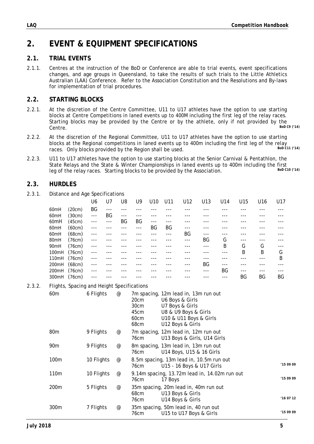# **2. EVENT & EQUIPMENT SPECIFICATIONS**

### **2.1. TRIAL EVENTS**

2.1.1. Centres at the instruction of the BoD or Conference are able to trial events, event specifications changes, and age groups in Queensland, to take the results of such trials to the Little Athletics Australian (LAA) Conference. Refer to the Association Constitution and the Resolutions and By-laws for implementation of trial procedures.

### **2.2. STARTING BLOCKS**

- 2.2.1. At the discretion of the Centre Committee, U11 to U17 athletes have the option to use starting blocks at Centre Competitions in laned events up to 400M including the first leg of the relay races. Starting blocks may be provided by the Centre or by the athlete, only if not provided by the<br>Control bod can use of the Centre of the Centre of the athlete, only if not provided by the Centre. *BoD C9 ('14)*
- 2.2.2. At the discretion of the Regional Committee, U11 to U17 athletes have the option to use starting blocks at the Regional competitions in laned events up to 400m including the first leg of the relay  $\frac{1}{600}$  c11 (14) races. Only blocks provided by the Region shall be used.
- 2.2.3. U11 to U17 athletes have the option to use starting blocks at the Senior Carnival & Pentathlon, the State Relays and the State & Winter Championships in laned events up to 400m including the first leg of the relay races. Starting blocks to be provided by the Association leg of the relay races. Starting blocks to be provided by the Association.

### **2.3. HURDLES**

2.3.1. Distance and Age Specifications

|                  |        | U6      | U7      | U8    | U9     | U10   | U11 | U12   | U13   | U14 | U15 | U <sub>16</sub> | U17 |
|------------------|--------|---------|---------|-------|--------|-------|-----|-------|-------|-----|-----|-----------------|-----|
| 60 <sub>mH</sub> | (20cm) | BG      | ---     |       |        |       |     |       |       |     |     |                 |     |
| 60 <sub>mH</sub> | (30cm) | $- - -$ | BG      | $---$ | ---    |       |     |       |       |     |     |                 |     |
| 60mH             | (45cm) | $- - -$ | $- - -$ | ΒG    | BG     | $---$ | --- |       |       |     |     |                 |     |
| 60mH             | (60cm) | $- - -$ |         | $---$ | $-- -$ | ΒG    | BG  | $---$ |       |     |     |                 |     |
| 60mH             | (68cm) | $- - -$ |         |       |        |       | --- | ΒG    | $---$ |     |     |                 |     |
| 80mH             | (76cm) | $- - -$ |         |       |        |       |     | $---$ | BG    | G   | --- |                 |     |
| 90 <sub>mH</sub> | (76cm) | $---$   |         |       |        |       |     |       | ---   | B   | G   | G               |     |
| 100mH            | (76cm) | $---$   |         |       |        |       |     |       |       |     | B   | B               | G   |
| 110mH            | (76cm) | $---$   |         |       |        |       |     |       |       |     |     |                 | B   |
| 200mH            | (68cm) | $---$   |         |       |        |       |     | ---   | BG    | --- |     |                 |     |
| 200mH            | (76cm) | $---$   |         |       |        |       |     |       | ---   | BG  | --- |                 |     |
| 300mH            | (76cm) | $--$    |         |       |        |       |     |       |       | --- | ΒG  | ΒG              | BG  |

### 2.3.2. Flights, Spacing and Height Specifications

| 60 <sub>m</sub> | 6 Flights  | @                               | 20cm<br>30cm<br>45cm<br>60cm<br>68cm | 7m spacing, 12m lead in, 13m run out<br>U6 Boys & Girls<br>U7 Boys & Girls<br>U8 & U9 Boys & Girls<br>U10 & U11 Boys & Girls<br>U12 Boys & Girls |          |
|-----------------|------------|---------------------------------|--------------------------------------|--------------------------------------------------------------------------------------------------------------------------------------------------|----------|
| 80 <sub>m</sub> | 9 Flights  | $^{\copyright}$                 | 76cm                                 | 7m spacing, 12m lead in, 12m run out<br>U13 Boys & Girls, U14 Girls                                                                              |          |
| 90 <sub>m</sub> | 9 Flights  | $^{\copyright}$                 | 76cm                                 | 8m spacing, 13m lead in, 13m run out<br>U14 Boys, U15 & 16 Girls                                                                                 |          |
| 100m            | 10 Flights | @                               | 76cm                                 | 8.5m spacing, 13m lead in, 10.5m run out<br>U15 - 16 Boys & U17 Girls                                                                            | 15 09 09 |
| 110m            | 10 Flights | $^{\copyright}$                 | 76cm                                 | 9.14m spacing, 13.72m lead in, 14.02m run out<br>17 Boys                                                                                         | 150909   |
| 200m            | 5 Flights  | @                               | 68 <sub>cm</sub><br>76cm             | 35m spacing, 20m lead in, 40m run out<br>U13 Boys & Girls<br>U14 Boys & Girls                                                                    | '160712  |
| 300m            | 7 Flights  | $^{\scriptsize\textregistered}$ | 76cm                                 | 35m spacing, 50m lead in, 40 run out<br>U15 to U17 Boys & Girls                                                                                  | '150909  |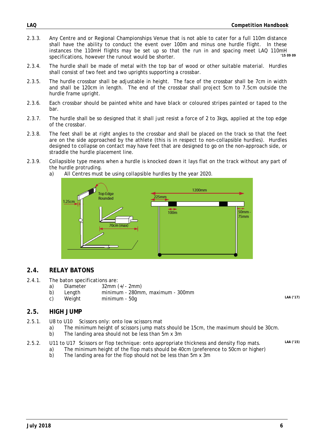- 2.3.3. Any Centre and or Regional Championships Venue that is not able to cater for a full 110m distance shall have the ability to conduct the event over 100m and minus one hurdle flight. In these instances the 110mH flights may be set up so that the run in and spacing meet LAQ 110mH considerations between the runsuit would be shorter. specifications, however the runout would be shorter.
- 2.3.4. The hurdle shall be made of metal with the top bar of wood or other suitable material. Hurdles shall consist of two feet and two uprights supporting a crossbar.
- 2.3.5. The hurdle crossbar shall be adjustable in height. The face of the crossbar shall be 7cm in width and shall be 120cm in length. The end of the crossbar shall project 5cm to 7.5cm outside the hurdle frame upright.
- 2.3.6. Each crossbar should be painted white and have black or coloured stripes painted or taped to the bar.
- 2.3.7. The hurdle shall be so designed that it shall just resist a force of 2 to 3kgs, applied at the top edge of the crossbar.
- 2.3.8. The feet shall be at right angles to the crossbar and shall be placed on the track so that the feet are on the side approached by the athlete (this is in respect to non-collapsible hurdles). Hurdles designed to collapse on contact may have feet that are designed to go on the non-approach side, or straddle the hurdle placement line.
- 2.3.9. Collapsible type means when a hurdle is knocked down it lays flat on the track without any part of the hurdle protruding.
	- a) All Centres must be using collapsible hurdles by the year 2020.



### **2.4. RELAY BATONS**

- 2.4.1. The baton specifications are:
	- a) Diameter  $32mm (+/- 2mm)$
	- b) Length minimum 280mm, maximum 300mm<br>c) Weight minimum 50g
	- c) Weight minimum 50g *LAA ('17)*

#### **2.5. HIGH JUMP**

- 2.5.1. U8 to U10 Scissors only: onto low scissors mat
	- a) The minimum height of scissors jump mats should be 15cm, the maximum should be 30cm.<br>b) The landing area should not be less than  $5m \times 3m$ The landing area should not be less than 5m x 3m
	-
- 2.5.2. U11 to U17 Scissors or flop technique: onto appropriate thickness and density flop mats. *LAA ('15)* 
	- a) The minimum height of the flop mats should be 40cm (preference to 50cm or higher) b) The landing area for the flop should not be less than 5m x 3m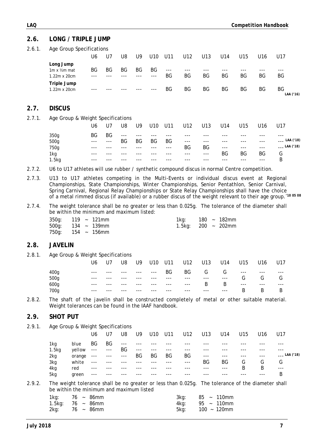### **2.6. LONG / TRIPLE JUMP**

| 2.6.1. | Age Group Specifications |
|--------|--------------------------|
|        |                          |

| ັ                                                 | U6          | U7 | U8  | U9        | U <sub>10</sub> | U11           | U12         | U13         | U14       | U15 | U <sub>16</sub> | U17             |
|---------------------------------------------------|-------------|----|-----|-----------|-----------------|---------------|-------------|-------------|-----------|-----|-----------------|-----------------|
| Long Jump<br>$1m \times$ 1/2m mat<br>1.22m x 20cm | BG<br>$---$ | ΒG | ΒG  | BG<br>--- | ΒG<br>$---$     | $- - -$<br>ΒG | $---$<br>ΒG | $---$<br>ΒG | ---<br>ΒG | ΒG  | $--$<br>ΒG      | ---<br>ΒG       |
| Triple Jump<br>1.22m x 20cm                       | $---$       |    | --- | ---       | $-- -$          | BG            | BG          | ΒG          | ΒG        | ΒG  | BG              | ΒG<br>LAA ('16) |

#### **2.7. DISCUS**

2.7.1. Age Group & Weight Specifications

|       | U6      | U7    | U8       | U9    | U <sub>10</sub> | U11     | U12      | U13     | U14      | U15     | U16    | U17                |
|-------|---------|-------|----------|-------|-----------------|---------|----------|---------|----------|---------|--------|--------------------|
| 350g  | BG      | BG    | $\cdots$ | $---$ | $---$           | ---     | $-- -$   | $--$    | ---      | $--$    | ---    | ---                |
| 500g  | $---$   | $---$ | ΒG       | BG    | ΒG              | ΒG      | $\cdots$ | $---$   | $---$    | $---$   | ---    | LAA ('18)<br>$---$ |
| 750g  | $- - -$ | $---$ | $---$    | ---   | $-- -$          | $- - -$ | BG       | ΒG      | $\cdots$ | $- - -$ | $---$  | $_{--}$ LAA ('18)  |
| 1kg   | $--$    | ---   | ---      | ---   | $---$           | $---$   | $---$    | $- - -$ | ΒG       | ВG      | BG     | G                  |
| 1.5kg | $- - -$ | ---   | ---      | ---   | ---             | ---     | $---$    | $--$    | $---$    | $---$   | $-- -$ | B                  |

2.7.2. U6 to U17 athletes will use rubber / synthetic compound discus in normal Centre competition.

- 2.7.3. U13 to U17 athletes competing in the Multi-Events or individual discus event at Regional Championships, State Championships, Winter Championships, Senior Pentathlon, Senior Carnival, Spring Carnival, Regional Relay Championships or State Relay Championships shall have the choice of a metal rimmed discus (if available) or a rubber discus of the weight relevant to their age group.*'10 05 08*
- 2.7.4. The weight tolerance shall be no greater or less than 0.025g. The tolerance of the diameter shall be within the minimum and maximum listed:

|                         | 350g: 119 ~ 121mm | 1kg: l                   |  | 180 ~ 182mm |
|-------------------------|-------------------|--------------------------|--|-------------|
| $500q: 134 \sim 139$ mm |                   | 1.5kg: $200 \sim 202$ mm |  |             |
| $750q$ : 154 ~ 156mm    |                   |                          |  |             |

### **2.8. JAVELIN**

2.8.1. Age Group & Weight Specifications

| U17<br>U <sub>16</sub> |
|------------------------|
| $---$<br>$---$         |
| G<br>G                 |
| $---$<br>$--$          |
| B<br>B                 |
|                        |

2.8.2. The shaft of the javelin shall be constructed completely of metal or other suitable material. Weight tolerances can be found in the IAAF handbook.

### **2.9. SHOT PUT**

2.9.1. Age Group & Weight Specifications

|                   |        | U6                                                                                                                                                                                                                                                                                                                                                                                                                                                                                | U7      | U8                  | U9      | U10     | U11   | U12   | U13     | U14   | U15   | U16 | - U17                     |
|-------------------|--------|-----------------------------------------------------------------------------------------------------------------------------------------------------------------------------------------------------------------------------------------------------------------------------------------------------------------------------------------------------------------------------------------------------------------------------------------------------------------------------------|---------|---------------------|---------|---------|-------|-------|---------|-------|-------|-----|---------------------------|
| 1kg               | blue   | BG                                                                                                                                                                                                                                                                                                                                                                                                                                                                                | BG      | $\qquad \qquad - -$ | $---$   |         |       |       |         |       |       |     |                           |
| 1.5 <sub>kq</sub> | vellow | $\begin{tabular}{lllllllllllll} \multicolumn{2}{l}{} & & & & & & & & \\ \multicolumn{2}{l}{} & & & & & & & & \\ \multicolumn{2}{l}{} & & & & & & & & \\ \multicolumn{2}{l}{} & & & & & & & & \\ \multicolumn{2}{l}{} & & & & & & & & \\ \multicolumn{2}{l}{} & & & & & & & & \\ \multicolumn{2}{l}{} & & & & & & & & \\ \multicolumn{2}{l}{} & & & & & & & & \\ \multicolumn{2}{l}{} & & & & & & & & \\ \multicolumn{2}{l}{} & & & & & & & & \\ \multicolumn{2}{l}{} & & & & & &$ |         | BG                  | $- - -$ | $- - -$ | $---$ | $---$ | ---     |       |       |     |                           |
| 2kg               | orange | $- - -$                                                                                                                                                                                                                                                                                                                                                                                                                                                                           | $- - -$ | $- - -$             | BG      | BG      | BG    | BG    | $- - -$ | $---$ | $---$ | --- | $_{\text{---}}$ LAA ('18) |
| 3kg               | white  | $- - -$                                                                                                                                                                                                                                                                                                                                                                                                                                                                           | $---$   | $---$               | ---     | ---     | ---   | $---$ | ΒG      | BG    | G     | G   | G                         |
| 4kg               | red    | $---$                                                                                                                                                                                                                                                                                                                                                                                                                                                                             | $---$   | ---                 | ---     |         |       | ---   | $--$    | ---   | B     | B   | $---$                     |
| 5kg               | green  | $---$                                                                                                                                                                                                                                                                                                                                                                                                                                                                             | ---     |                     |         |         |       |       | ---     |       |       | --- | B                         |

2.9.2. The weight tolerance shall be no greater or less than 0.025g. The tolerance of the diameter shall be within the minimum and maximum listed

| 1kg: $76 \sim 86$ mm   |  | 3ka:    | 85 ~ 110mm     |
|------------------------|--|---------|----------------|
| 1.5kg: $76 \sim 86$ mm |  | 4kg:    | 95 ~ 110mm     |
| $2kg: 76 \sim 86mm$    |  | $5kg$ : | $100 - 120$ mm |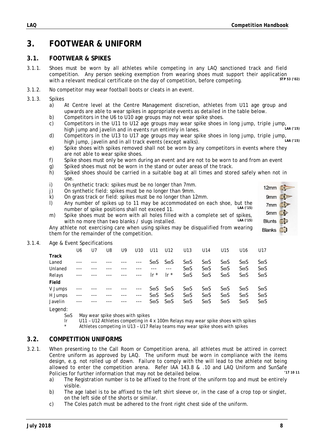12mm #  $9mm$  $7mm$  $5mm$ Blunts **1 Blanks** 

### **3. FOOTWEAR & UNIFORM**

### **3.1. FOOTWEAR & SPIKES**

- 3.1.1. Shoes must be worn by all athletes while competing in any LAQ sanctioned track and field competition. Any person seeking exemption from wearing shoes must support their application<br>with a relevant modical certificate on the day of competition, before competing with a relevant medical certificate on the day of competition, before competing.
- 3.1.2. No competitor may wear football boots or cleats in an event.
- 3.1.3. Spikes
	- a) At Centre level at the Centre Management discretion, athletes from U11 age group and upwards are able to wear spikes in appropriate events as detailed in the table below.
	- b) Competitors in the U6 to U10 age groups may not wear spike shoes.
	- c) Competitors in the U11 to U12 age groups may wear spike shoes in long jump, triple jump,<br>bigh jump and javolin and in ovents run entirely in langs high jump and javelin and in events run entirely in lanes.
	- d) Competitors in the U13 to U17 age groups may wear spike shoes in long jump, triple jump,<br>bigh jump, javolin and in all track ovents (oxcont walks) high jump, javelin and in all track events (except walks).
	- e) Spike shoes with spikes removed shall not be worn by any competitors in events where they are not able to wear spike shoes.
	- f) Spike shoes must only be worn during an event and are not to be worn to and from an event
	- g) Spiked shoes must not be worn in the stand or outer areas of the track.
	- h) Spiked shoes should be carried in a suitable bag at all times and stored safely when not in use.
	- i) On synthetic track: spikes must be no longer than 7mm.
	- j) On synthetic field: spikes must be no longer than 9mm.
	- k) On grass track or field: spikes must be no longer than 12mm.
	- l) Any number of spikes up to 11 may be accommodated on each shoe, but the number of spike positions shall not exceed 11.
	- m) Spike shoes must be worn with all holes filled with a complete set of spikes,<br>with no more than two blanks / slugs installed with no more than two blanks / slugs installed.

Any athlete not exercising care when using spikes may be disqualified from wearing them for the remainder of the competition.

#### 3.1.4. Age & Event Specifications

|         | U6   | U7 | U8 | U9 | U10  | U11         | U12                       | U13                   | U14                   | U15         | U <sub>16</sub>       | U17                   |
|---------|------|----|----|----|------|-------------|---------------------------|-----------------------|-----------------------|-------------|-----------------------|-----------------------|
| Track   |      |    |    |    |      |             |                           |                       |                       |             |                       |                       |
| Laned   |      |    |    |    | ---  | $S\varpi S$ | $S\varpi S$               | $S\overline{\omega}S$ | $S\overline{\omega}S$ | $S\varpi S$ | S <del>w</del> S      | SϖS                   |
| Unlaned |      |    |    |    |      |             | ---                       | $S\varpi S$           | ՏϖS                   | $S\varpi S$ | $S\overline{\omega}S$ | $S\overline{\omega}S$ |
| Relays  | $--$ |    |    |    | ---  | Ir $*$      | $\mathsf{I} \mathsf{r}^*$ | $S\varpi S$           | $S\varpi S$           | $S\varpi S$ | $S\overline{\omega}S$ | $S\varpi S$           |
| Field   |      |    |    |    |      |             |                           |                       |                       |             |                       |                       |
| V Jumps |      |    |    |    | ---  |             | $S\varpi S$ $S\varpi S$   | $S\overline{\omega}S$ | $S\varpi S$           | $S\varpi S$ | $S\varpi S$           | SϖS                   |
| H Jumps |      |    |    |    | $--$ | $S\varpi S$ | $S\varpi S$               | $S\varpi S$           | $S\varpi S$           | ՏϖS         | $S\overline{\omega}S$ | $S\varpi S$           |
| Javelin |      |    |    |    | ---  | $S\varpi S$ | $S\varpi S$               | $S\varpi S$           | ՏϖS                   | $S\varpi S$ | $S\overline{\omega}S$ | $S\varpi S$           |
|         |      |    |    |    |      |             |                           |                       |                       |             |                       |                       |

Legend:

- $S<sub>π</sub>S$  May wear spike shoes with spikes
- lr U11 U12 Athletes competing in 4 x 100m Relays may wear spike shoes with spikes
- Athletes competing in U13 U17 Relay teams may wear spike shoes with spikes

### **3.2. COMPETITION UNIFORMS**

- 3.2.1. When presenting to the Call Room or Competition arena, all athletes must be attired in correct Centre uniform as approved by LAQ. The uniform must be worn in compliance with the items design, e.g. not rolled up of down. Failure to comply with the will lead to the athlete not being allowed to enter the competition arena. Refer IAA 143.8 & .10 and LAQ Uniform and SunSafe<br>Deligies for further information that may not be detailed below. Policies for further information that may not be detailed below.
	- a) The Registration number is to be affixed to the front of the uniform top and must be entirely visible.
	- b) The age label is to be affixed to the left shirt sleeve or, in the case of a crop top or singlet, on the left side of the shorts or similar.
	- c) The Coles patch must be adhered to the front right chest side of the uniform.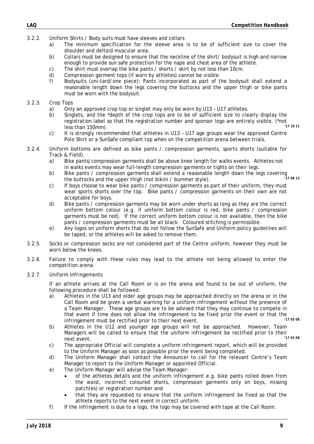- 3.2.2. Uniform Shirts / Body suits must have sleeves and collars
	- a) The minimum specification for the sleeve area is to be of sufficient size to cover the shoulder and deltoid muscular area.
	- b) Collars must be designed to ensure that the neckline of the shirt/ bodysuit is high and narrow enough to provide sun safe protection for the nape and chest area of the athlete.
	- c) The shirt must overlap the bike pants / shorts / skirt by not less than 10cm.
	- d) Compression garment tops (if worn by athletes) cannot be visible.
	- f) Bodysuits (uni-tard/one piece): Pants incorporated as part of the bodysuit shall extend a reasonable length down the legs covering the buttocks and the upper thigh or bike pants must be worn with the bodysuit.

### 3.2.3. Crop Tops

- a) Only an approved crop top or singlet may only be worn by U13 U17 athletes.
- b) Singlets, and the \*depth of the crop tops are to be of sufficient size to clearly display the registration label so that the registration number and sponsor logo are entirely visible. (\*not<br>loss than 150mm) less than 150mm).
- c) It is strongly recommended that athletes in U13 U17 age groups wear the approved Centre Polo Shirt or a SunSafe compliant top when on the competition arena between trials.
- 3.2.4. Uniform bottoms are defined as bike pants / compression garments, sports shorts (suitable for Track & Field).
	- a) Bike pants/compression garments shall be above knee length for walks events. Athletes not in walks events may wear full-length compression garments or tights on their legs.
	- b) Bike pants / compression garments shall extend a reasonable length down the legs covering  $(17.09.13)$ the buttocks and the upper thigh (not bikini / bummer style).
	- c) If boys choose to wear bike pants / compression garments as part of their uniform, they must wear sports shorts over the top. Bike pants / compression garments on their own are not acceptable for boys.
	- d) Bike pants / compression garments may be worn under shorts as long as they are the correct uniform bottom colour (e.g. if uniform bottom colour is red, bike pants / compression garments must be red). If the correct uniform bottom colour is not available, then the bike pants / compression garments must be all black. Coloured stitching is permissible.
	- e) Any logos on uniform shorts that do not follow the SunSafe and Uniform policy guidelines will be taped, or the athletes will be asked to remove them.
- 3.2.5. Socks or compression socks are not considered part of the Centre uniform, however they must be worn below the knees.
- 3.2.6. Failure to comply with these rules may lead to the athlete not being allowed to enter the competition arena.
- 3.2.7. Uniform Infringements

 If an athlete arrives at the Call Room or is on the arena and found to be out of uniform, the following procedure shall be followed:

- a) Athletes in the U13 and older age groups may be approached directly on the arena or in the Call Room and be given a verbal warning for a uniform infringement without the presence of a Team Manager. These age groups are to be advised that they may continue to compete in that event if time does not allow the infringement to be fixed prior the event or that the<br>infringement must be restified prior to their port suppt. infringement must be rectified prior to their next event.
- b) Athletes in the U12 and younger age groups will not be approached. However, Team Managers will be called to ensure that the uniform infringement be rectified prior to their<br>"17.03.08 next event. *'17 03 08*
- c) The appropriate Official will complete a uniform infringement report, which will be provided to the Uniform Manager as soon as possible prior the event being completed.
- d) The Uniform Manager shall contact the Announcer to call for the relevant Centre's Team Manager to report to the Uniform Manager or appointed Official.
- e) The Uniform Manager will advise the Team Manager:
	- of the athletes details and the uniform infringement e.g. bike pants rolled down from the waist, incorrect coloured shorts, compression garments only on boys, missing patch(es) or registration number and
	- that they are requested to ensure that the uniform infringement be fixed so that the athlete reports to the next event in correct uniform.
- f) If the infringement is due to a logo, the logo may be covered with tape at the Call Room.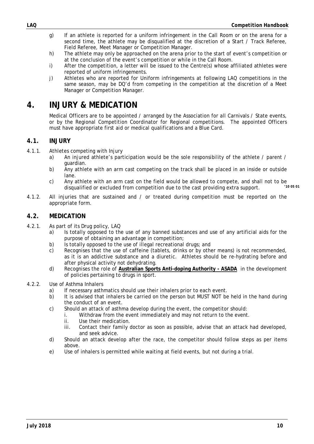- g) If an athlete is reported for a uniform infringement in the Call Room or on the arena for a second time, the athlete may be disqualified at the discretion of a Start / Track Referee, Field Referee, Meet Manager or Competition Manager.
- h) The athlete may only be approached on the arena prior to the start of event's competition or at the conclusion of the event's competition or while in the Call Room.
- i) After the competition, a letter will be issued to the Centre(s) whose affiliated athletes were reported of uniform infringements.
- j) Athletes who are reported for Uniform infringements at following LAQ competitions in the same season, may be DQ'd from competing in the competition at the discretion of a Meet Manager or Competition Manager.

### **4. INJURY & MEDICATION**

 Medical Officers are to be appointed / arranged by the Association for all Carnivals / State events, or by the Regional Competition Coordinator for Regional competitions. The appointed Officers must have appropriate first aid or medical qualifications and a Blue Card.

### **4.1. INJURY**

- 4.1.1. Athletes competing with Injury
	- a) An injured athlete's participation would be the sole responsibility of the athlete / parent / guardian.
	- b) Any athlete with an arm cast competing on the track shall be placed in an inside or outside lane.
	- c) Any athlete with an arm cast on the field would be allowed to compete, and shall not to be disqualified or excluded from competition due to the cast providing extra support disqualified or excluded from competition due to the cast providing extra support.
- 4.1.2. All injuries that are sustained and / or treated during competition must be reported on the appropriate form.

### **4.2. MEDICATION**

- 4.2.1. As part of its Drug policy, LAQ
	- a) Is totally opposed to the use of any banned substances and use of any artificial aids for the purpose of obtaining an advantage in competition;
	- b) Is totally opposed to the use of illegal recreational drugs; and
	- c) Recognises that the use of caffeine (tablets, drinks or by other means) is not recommended, as it is an addictive substance and a diuretic. Athletes should be re-hydrating before and after physical activity not dehydrating.
	- d) Recognises the role of **Australian Sports Anti-doping Authority ASADA** in the development of policies pertaining to drugs in sport.
- 4.2.2. Use of Asthma Inhalers
	- a) If necessary asthmatics should use their inhalers prior to each event.
	- b) It is advised that inhalers be carried on the person but MUST NOT be held in the hand during the conduct of an event.
	- c) Should an attack of asthma develop during the event, the competitor should:
		- i. Withdraw from the event immediately and may not return to the event.
		- ii. Use their medication.
		- iii. Contact their family doctor as soon as possible, advise that an attack had developed, and seek advice.
	- d) Should an attack develop after the race, the competitor should follow steps as per items above.
	- e) Use of inhalers is permitted while waiting at field events, but not during a trial.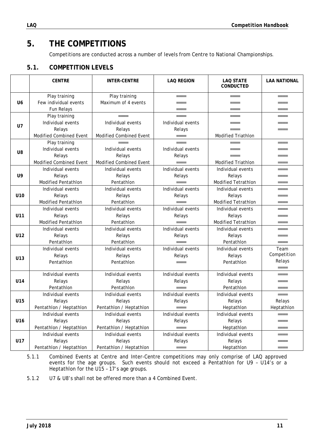# **5. THE COMPETITIONS**

Competitions are conducted across a number of levels from Centre to National Championships.

### **5.1. COMPETITION LEVELS**

|                 | <b>CENTRE</b>                  | <b>INTER-CENTRE</b>     | <b>LAQ REGION</b> | <b>LAQ STATE</b><br><b>CONDUCTED</b> | <b>LAA NATIONAL</b> |
|-----------------|--------------------------------|-------------------------|-------------------|--------------------------------------|---------------------|
|                 | Play training                  | Play training           | $====$            | $====$                               | $====$              |
| U <sub>6</sub>  | Few individual events          | Maximum of 4 events     | $== == =$         | $=$ $=$ $=$ $=$                      | $== == =$           |
|                 | Fun Relays                     |                         | $====$            | $== == =$                            | $== == =$           |
|                 | Play training                  | $=$ $=$ $=$ $=$         | $=$ $=$ $=$ $=$   | $== == =$                            | $====$              |
| <b>U7</b>       | Individual events              | Individual events       | Individual events | ====                                 | $====$              |
|                 | Relays                         | Relays                  | Relays            | $=$ $=$ $=$ $=$                      | ====                |
|                 | <b>Modified Combined Event</b> | Modified Combined Event | $=$ $=$ $=$ $=$   | <b>Modified Triathlon</b>            |                     |
|                 | Play training                  | ----                    | $=$ $=$ $=$ $=$   | $=$ $=$ $=$ $=$                      | $=$ $=$ $=$ $=$     |
| U8              | Individual events              | Individual events       | Individual events | $====$                               | $====$              |
|                 | Relays                         | Relays                  | Relays            | $== == =$                            | $== == =$           |
|                 | Modified Combined Event        | Modified Combined Event | $== ==$           | <b>Modified Triathlon</b>            | $====$              |
|                 | Individual events              | Individual events       | Individual events | Individual events                    | $=$ $=$ $=$         |
| U9              | Relays                         | Relays                  | Relays            | Relays                               | $====$              |
|                 | <b>Modified Pentathlon</b>     | Pentathlon              | $====$            | <b>Modified Tetrathlon</b>           | $====$              |
|                 | Individual events              | Individual events       | Individual events | Individual events                    | $====$              |
| U10             | Relays                         | Relays                  | Relays            | Relays                               | $== == =$           |
|                 | Modified Pentathlon            | Pentathlon              | $====$            | Modified Tetrathlon                  | $== == =$           |
|                 | Individual events              | Individual events       | Individual events | Individual events                    | ====                |
| U11             | Relays                         | Relays                  | Relays            | Relays                               | $====$              |
|                 | <b>Modified Pentathlon</b>     | Pentathlon              | $=$ $=$ $=$       | <b>Modified Tetrathlon</b>           | $== == =$           |
|                 | Individual events              | Individual events       | Individual events | Individual events                    | $====$              |
| U12             | Relays                         | Relays                  | Relays            | Relays                               | $== == =$           |
|                 | Pentathlon                     | Pentathlon              | $====$            | Pentathlon                           | $====$              |
|                 | Individual events              | Individual events       | Individual events | Individual events                    | Team                |
| U <sub>13</sub> | Relays                         | Relays                  | Relays            | Relays                               | Competition         |
|                 | Pentathlon                     | Pentathlon              | $====$            | Pentathlon                           | Relays              |
|                 |                                |                         |                   |                                      | $====$              |
|                 | Individual events              | Individual events       | Individual events | Individual events                    | $=$ $=$ $=$ $=$     |
| U14             | Relays                         | Relays                  | Relays            | Relays                               | $== == =$           |
|                 | Pentathlon                     | Pentathlon              | $=$ $=$ $=$       | Pentathlon                           | $====$              |
|                 | Individual events              | Individual events       | Individual events | Individual events                    | $====$              |
| U15             | Relays                         | Relays                  | Relays            | Relays                               | Relays              |
|                 | Pentathlon / Heptathlon        | Pentathion / Heptathion | $=$ $=$ $=$ $=$   | Heptathlon                           | Heptathlon          |
|                 | Individual events              | Individual events       | Individual events | Individual events                    | ====                |
| U <sub>16</sub> | Relays                         | Relays                  | Relays            | Relays                               | $====$              |
|                 | Pentathlon / Heptathlon        | Pentathlon / Heptathlon | $====$            | Heptathlon                           | $== == =$           |
|                 | Individual events              | Individual events       | Individual events | Individual events                    | $====$              |
| U17             | Relays                         | Relays                  | Relays            | Relays                               | $====$              |
|                 | Pentathlon / Heptathlon        | Pentathlon / Heptathlon | $=$ $=$ $=$ $=$   | Heptathlon                           | $====$              |

5.1.1 Combined Events at Centre and Inter-Centre competitions may only comprise of LAQ approved events for the age groups. Such events should not exceed a Pentathlon for U9 – U14's or a Heptathlon for the U15 – 17's age groups.

5.1.2 U7 & U8's shall not be offered more than a 4 Combined Event.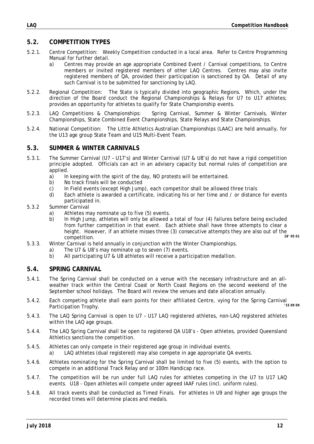### **5.2. COMPETITION TYPES**

- 5.2.1. Centre Competition: Weekly Competition conducted in a local area. Refer to Centre Programming Manual for further detail.
	- a) Centres may provide an age appropriate Combined Event / Carnival competitions, to Centre members or invited registered members of other LAQ Centres. Centres may also invite registered members of QA, provided their participation is sanctioned by QA. Detail of any such Carnival is to be submitted for sanctioning by LAQ.
- 5.2.2. Regional Competition: The State is typically divided into geographic Regions. Which, under the direction of the Board conduct the Regional Championships & Relays for U7 to U17 athletes; provides an opportunity for athletes to qualify for State Championship events.
- 5.2.3. LAQ Competitions & Championships: Spring Carnival, Summer & Winter Carnivals, Winter Championships, State Combined Event Championships, State Relays and State Championships.
- 5.2.4. National Competition: The Little Athletics Australian Championships (LAAC) are held annually, for the U13 age group State Team and U15 Multi-Event Team.

### **5.3. SUMMER & WINTER CARNIVALS**

- 5.3.1. The Summer Carnival (U7 U17's) and Winter Carnival (U7 & U8's) do not have a rigid competition principle adopted. Officials can act in an advisory capacity but normal rules of competition are applied.
	- a) In keeping with the spirit of the day, NO protests will be entertained.
	- b) No track finals will be conducted
	- c) In Field events (except High Jump), each competitor shall be allowed three trials
	- d) Each athlete is awarded a certificate, indicating his or her time and / or distance for events participated in.
- 5.3.2 Summer Carnival
	- a) Athletes may nominate up to five (5) events.
	- b) In High Jump, athletes will only be allowed a total of four (4) failures before being excluded from further competition in that event. Each athlete shall have three attempts to clear a height. However, if an athlete misses three (3) consecutive attempts they are also out of the<br>compatition competition.
- 5.3.3. Winter Carnival is held annually in conjunction with the Winter Championships.
	- a) The U7 & U8's may nominate up to seven (7) events.
	- b) All participating U7 & U8 athletes will receive a participation medallion.

#### **5.4. SPRING CARNIVAL**

- 5.4.1. The Spring Carnival shall be conducted on a venue with the necessary infrastructure and an allweather track within the Central Coast or North Coast Regions on the second weekend of the September school holidays. The Board will review the venues and date allocation annually.
- 5.4.2. Each competing athlete shall earn points for their affiliated Centre, vying for the Spring Carnival<br>Participation Trophy Participation Trophy.
- 5.4.3. The LAQ Spring Carnival is open to U7 U17 LAQ registered athletes, non-LAQ registered athletes within the LAQ age groups.
- 5.4.4. The LAQ Spring Carnival shall be open to registered QA U18's Open athletes, provided Queensland Athletics sanctions the competition.
- 5.4.5. Athletes can only compete in their registered age group in individual events. a) LAQ athletes (dual registered) may also compete in age appropriate QA events.
- 5.4.6. Athletes nominating for the Spring Carnival shall be limited to five (5) events, with the option to compete in an additional Track Relay and or 100m Handicap race.
- 5.4.7. The competition will be run under full LAQ rules for athletes competing in the U7 to U17 LAQ events. U18 - Open athletes will compete under agreed IAAF rules (incl. uniform rules).
- 5.4.8. All track events shall be conducted as Timed Finals. For athletes in U9 and higher age groups the recorded times will determine places and medals.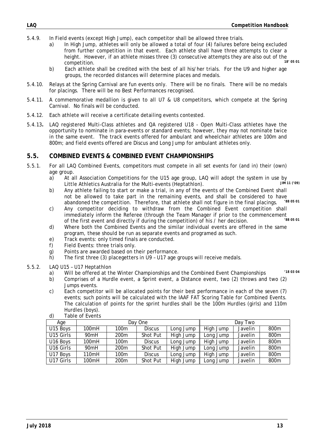- 5.4.9. In Field events (except High Jump), each competitor shall be allowed three trials.
	- a) In High Jump, athletes will only be allowed a total of four (4) failures before being excluded from further competition in that event. Each athlete shall have three attempts to clear a height. However, if an athlete misses three (3) consecutive attempts they are also out of the<br>second this cancel is as 05.01 competition.
	- b) Each athlete shall be credited with the best of all his/her trials. For the U9 and higher age groups, the recorded distances will determine places and medals.
- 5.4.10. Relays at the Spring Carnival are fun events only. There will be no finals. There will be no medals for placings. There will be no Best Performances recognised.
- 5.4.11. A commemorative medallion is given to all U7 & U8 competitors, which compete at the Spring Carnival. No finals will be conducted.
- 5.4.12. Each athlete will receive a certificate detailing events contested.
- 5.4.13**.** LAQ registered Multi-Class athletes and QA registered U18 Open Multi-Class athletes have the opportunity to nominate in para-events or standard events; however, they may not nominate twice in the same event. The track events offered for ambulant and wheelchair athletes are 100m and 800m; and field events offered are Discus and Long Jump for ambulant athletes only.

### **5.5. COMBINED EVENTS & COMBINED EVENT CHAMPIONSHIPS**

- 5.5.1. For all LAQ Combined Events, competitors must compete in all set events for (and in) their (own) age group.
	- a) At all Association Competitions for the U15 age group, LAQ will adopt the system in use by  $\frac{1}{100}$  and  $\frac{1}{100}$ Little Athletics Australia for the Multi-events (Heptathlon).
	- b) Any athlete failing to start or make a trial, in any of the events of the Combined Event shall not be allowed to take part in the remaining events, and shall be considered to have<br>abandoned the competition. Therefore, that athlete shall not figure in the final placings (38.05.01) abandoned the competition. Therefore, that athlete shall not figure in the final placings.
	- c) Any competitor deciding to withdraw from the Combined Event competition shall immediately inform the Referee (through the Team Manager if prior to the commencement<br>of the first quant and directly if during the compatition) of his (bar desigion of the first event and directly if during the competition) of his / her decision.
	- d) Where both the Combined Events and the similar individual events are offered in the same program, these should be run as separate events and programed as such.
	- e) Track events: only timed finals are conducted.
	- f) Field Events: three trials only.
	- g) Points are awarded based on their performance.
	- h) The first three (3) placegetters in U9 U17 age groups will receive medals.
- 5.5.2. LAQ U15 U17 Heptathlon
	- a) Will be offered at the Winter Championships and the Combined Event Championships *'18 03 04*
	- b) Comprises of a Hurdle event, a Sprint event, a Distance event, two (2) throws and two (2) Jumps events.
	- c) Each competitor will be allocated points for their best performance in each of the seven (7) events; such points will be calculated with the IAAF FAT Scoring Table for Combined Events. The calculation of points for the sprint hurdles shall be the 100m Hurdles (girls) and 110m Hurdles (boys).

| Age       |                  |                  | Day One         | Day Two   |           |                |                  |  |  |
|-----------|------------------|------------------|-----------------|-----------|-----------|----------------|------------------|--|--|
| U15 Boys  | 100mH            | 100m             | <b>Discus</b>   | Long Jump | High Jump | Javelin        | 800 <sub>m</sub> |  |  |
| U15 Girls | 90mH             | 200 <sub>m</sub> | Shot Put        | High Jump | Long Jump | Javelin        | 800m             |  |  |
| U16 Boys  | 100mH            | 100m             | <b>Discus</b>   | Long Jump | High Jump | <b>Javelin</b> | 800 <sub>m</sub> |  |  |
| U16 Girls | 90 <sub>mH</sub> | 200 <sub>m</sub> | Shot Put        | High Jump | Long Jump | Javelin        | 800m             |  |  |
| U17 Boys  | 110mH            | 100m             | <b>Discus</b>   | Long Jump | High Jump | Javelin        | 800 <sub>m</sub> |  |  |
| U17 Girls | 100mH            | 200 <sub>m</sub> | <b>Shot Put</b> | High Jump | Long Jump | Javelin        | 800 <sub>m</sub> |  |  |

d) Table of Events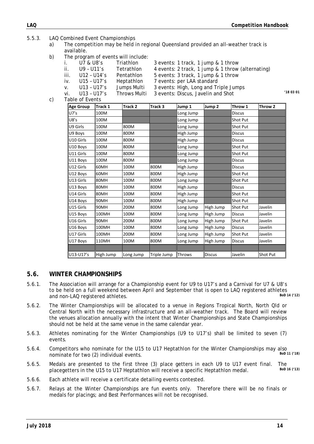- 5.5.3. LAQ Combined Event Championships
	- a) The competition may be held in regional Queensland provided an all-weather track is available.
	- b) The program of events will include:

|    |      | U7 & U8's       | Triathlon    | 3 events: 1 track, 1 jump & 1 throw               |         |
|----|------|-----------------|--------------|---------------------------------------------------|---------|
|    |      |                 |              |                                                   |         |
|    | ii.  | $U9 - U11's$    | Tetrathlon   | 4 events: 2 track, 1 jump & 1 throw (alternating) |         |
|    | iii. | U12 - U14's     | Pentathion   | 5 events: 3 track, 1 jump & 1 throw               |         |
|    | IV.  | U15 - U17's     | Heptathlon   | 7 events: per LAA standard                        |         |
|    | V.   | U13 - U17's     | Jumps Multi  | 3 events: High, Long and Triple Jumps             |         |
|    | vi.  | $U13 - U17$ 's  | Throws Multi | 3 events: Discus, Javelin and Shot                | '18030' |
| C) |      | Table of Events |              |                                                   |         |
|    |      |                 |              |                                                   |         |

| Age Group             | Track 1   | Track 2   | Track <sub>3</sub> | Jump 1        | Jump <sub>2</sub> | Throw 1         | Throw <sub>2</sub> |
|-----------------------|-----------|-----------|--------------------|---------------|-------------------|-----------------|--------------------|
| U7's                  | 100M      |           |                    | Long Jump     |                   | <b>Discus</b>   |                    |
| U8's                  | 100M      |           |                    | Long Jump     |                   | Shot Put        |                    |
| U9 Girls              | 100M      | 800M      |                    | Long Jump     |                   | Shot Put        |                    |
| U9 Boys               | 100M      | 800M      |                    | High Jump     |                   | <b>Discus</b>   |                    |
| U <sub>10</sub> Girls | 100M      | 800M      |                    | High Jump     |                   | <b>Discus</b>   |                    |
| U10 Boys              | 100M      | 800M      |                    | Long Jump     |                   | Shot Put        |                    |
| U11 Girls             | 100M      | 800M      |                    | Long Jump     |                   | Shot Put        |                    |
| U11 Boys              | 100M      | 800M      |                    | Long Jump     |                   | <b>Discus</b>   |                    |
| U12 Girls             | 60MH      | 100M      | 800M               | High Jump     |                   | <b>Discus</b>   |                    |
| U12 Boys              | 60MH      | 100M      | 800M               | High Jump     |                   | Shot Put        |                    |
| U13 Girls             | 80MH      | 100M      | 800M               | Long Jump     |                   | Shot Put        |                    |
| U13 Boys              | 80MH      | 100M      | 800M               | High Jump     |                   | <b>Discus</b>   |                    |
| U14 Girls             | 80MH      | 100M      | 800M               | High Jump     |                   | Shot Put        |                    |
| U14 Boys              | 90MH      | 100M      | 800M               | High Jump     |                   | Shot Put        |                    |
| U15 Girls             | 90MH      | 200M      | 800M               | Long Jump     | High Jump         | <b>Shot Put</b> | Javelin            |
| U15 Boys              | 100MH     | 100M      | 800M               | Long Jump     | High Jump         | <b>Discus</b>   | Javelin            |
| U <sub>16</sub> Girls | 90MH      | 200M      | 800M               | Long Jump     | High Jump         | <b>Shot Put</b> | Javelin            |
| U <sub>16</sub> Boys  | 100MH     | 100M      | 800M               | Long Jump     | High Jump         | <b>Discus</b>   | Javelin            |
| U17 Girls             | 100MH     | 200M      | 800M               | Long Jump     | High Jump         | Shot Put        | Javelin            |
| U17 Boys              | 110MH     | 100M      | 800M               | Long Jump     | High Jump         | <b>Discus</b>   | Javelin            |
|                       |           |           |                    |               |                   |                 |                    |
| U13-U17's             | High Jump | Long Jump | Triple Jump        | <b>Throws</b> | <b>Discus</b>     | Javelin         | <b>Shot Put</b>    |

### **5.6. WINTER CHAMPIONSHIPS**

- 5.6.1. The Association will arrange for a Championship event for U9 to U17's and a Carnival for U7 & U8's to be held on a full weekend between April and September that is open to LAQ registered athletes<br>and non-LAQ registered athletes and non-LAQ registered athletes.
- 5.6.2. The Winter Championships will be allocated to a venue in Regions Tropical North, North Qld or Central North with the necessary infrastructure and an all-weather track. The Board will review the venues allocation annually with the intent that Winter Championships and State Championships should not be held at the same venue in the same calendar year.
- 5.6.3. Athletes nominating for the Winter Championships (U9 to U17's) shall be limited to seven (7) events.
- 5.6.4. Competitors who nominate for the U15 to U17 Heptathlon for the Winter Championships may also<br>populate for two (2) individual events nominate for two (2) individual events.
- 5.6.5. Medals are presented to the first three (3) place getters in each U9 to U17 event final. The<br>place of the U15 to U17 Hentathlop will receive a specific Hentathlop model see 16 (13) placegetters in the U15 to U17 Heptathlon will receive a specific Heptathlon medal.
- 5.6.6. Each athlete will receive a certificate detailing events contested.
- 5.6.7. Relays at the Winter Championships are fun events only. Therefore there will be no finals or medals for placings; and Best Performances will not be recognised.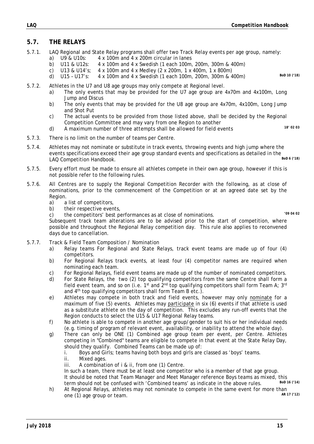### **5.7. THE RELAYS**

- 5.7.1. LAQ Regional and State Relay programs shall offer two Track Relay events per age group, namely:
	- a) U9 & U10s: 4 x 100m and 4 x 200m circular in lanes
		- b) U11 & U12s: 4 x 100m and 4 x Swedish (1 each 100m, 200m, 300m & 400m)
		- c) U13 & U14's; 4 x 100m and 4 x Medley (2 x 200m, 1 x 400m, 1 x 800m)
		- d) U15 U17's: 4 x 100m and 4 x Swedish (1 each 100m, 200m, 300m & 400m) *BoD 10 ('18)*
- 5.7.2. Athletes in the U7 and U8 age groups may only compete at Regional level.
	- a) The only events that may be provided for the U7 age group are 4x70m and 4x100m, Long Jump and Discus
	- b) The only events that may be provided for the U8 age group are 4x70m, 4x100m, Long Jump and Shot Put
	- c) The actual events to be provided from those listed above, shall be decided by the Regional Competition Committee and may vary from one Region to another
	- d) A maximum number of three attempts shall be allowed for field events *18' 02 03*

- 5.7.3. There is no limit on the number of teams per Centre.
- 5.7.4. Athletes may not nominate or substitute in track events, throwing events and high jump where the events specifications exceed their age group standard events and specifications as detailed in the<br>LAO Compotition Handbook LAQ Competition Handbook.
- 5.7.5. Every effort must be made to ensure all athletes compete in their own age group, however if this is not possible refer to the following rules.
- 5.7.6. All Centres are to supply the Regional Competition Recorder with the following, as at close of nominations, prior to the commencement of the Competition or at an agreed date set by the Region.
	- a) a list of competitors,
	- b) their respective events,
	- c) the competitors' best performances as at close of nominations. *'09 04 02*

Subsequent track team alterations are to be advised prior to the start of competition, where possible and throughout the Regional Relay competition day. This rule also applies to reconvened days due to cancellation.

- 5.7.7. Track & Field Team Composition / Nomination
	- a) Relay teams For Regional and State Relays, track event teams are made up of four (4) competitors.
	- b) For Regional Relays track events, at least four (4) competitor names are required when nominating each team.
	- c) For Regional Relays, field event teams are made up of the number of nominated competitors.
	- d) For State Relays, the two (2) top qualifying competitors from the same Centre shall form a field event team, and so on (i.e. 1<sup>st</sup> and  $2^{nd}$  top qualifying competitors shall form Team A; 3<sup>rd</sup> and 4<sup>th</sup> top qualifying competitors shall form Team B etc.).
	- e) Athletes may compete in both track and field events, however may only nominate for a maximum of five (5) events. Athletes may participate in six (6) events if that athlete is used as a substitute athlete on the day of competition. This excludes any run-off events that the Region conducts to select the U15 & U17 Regional Relay teams.
	- f) No athlete is able to compete in another age group/gender to suit his or her individual needs (e.g. timing of program of relevant event, availability, or inability to attend the whole day).
	- g) There can only be ONE (1) Combined age group team per event, per Centre. Athletes competing in "Combined" teams are eligible to compete in that event at the State Relay Day, should they qualify. Combined Teams can be made up of:
		- i. Boys and Girls; teams having both boys and girls are classed as 'boys' teams.
		- ii. Mixed ages.
		- iii. A combination of i & ii, from one (1) Centre.

 In such a team, there must be at least one competitor who is a member of that age group. It should be noted that Team Manager and Meet Manager reference Boys teams as mixed, this term should not be confused with 'Combined teams' as indicate in the above rules term should not be confused with 'Combined teams' as indicate in the above rules.

h) At Regional Relays, athletes may not nominate to compete in the same event for more than  $\frac{AP \cdot 7 \cdot (72)}{AP \cdot 7 \cdot (72)}$ one (1) age group or team.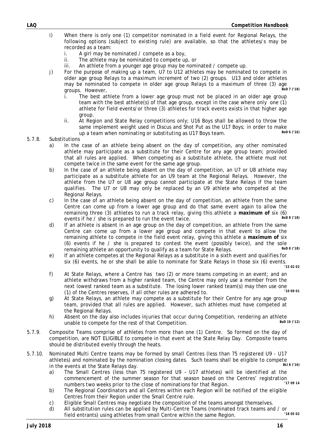- i) When there is only one (1) competitor nominated in a field event for Regional Relays, the following options (subject to existing rule) are available, so that the athletes/s may be recorded as a team:
	- i. A girl may be nominated / compete as a boy,
	- ii. The athlete may be nominated to compete up, or
	- iii. An athlete from a younger age group may be nominated / compete up.
- j) For the purpose of making up a team, U7 to U12 athletes may be nominated to compete in older age group Relays to a maximum increment of two (2) groups. U13 and older athletes may be nominated to compete in older age group Relays to a maximum of three (3) age aroups. However,
	- i. The best athlete from a lower age group must not be placed in an older age group team with the best athlete(s) of that age group, except in the case where only one (1) athlete for field events/or three (3) athletes for track events exists in that higher age group.
	- ii. At Region and State Relay competitions only; U16 Boys shall be allowed to throw the same implement weight used in Discus and Shot Put as the U17 Boys; in order to make<br>up a toam whon pominating or substituting as U17 Boys toam up a team when nominating or substituting as U17 Boys team.

#### 5.7.8. Substitutions

- a) In the case of an athlete being absent on the day of competition, any other nominated athlete may participate as a substitute for their Centre for any age group team; provided that all rules are applied. When competing as a substitute athlete, the athlete must not compete twice in the same event for the same age group.
- b) In the case of an athlete being absent on the day of competition, an U7 or U8 athlete may participate as a substitute athlete for an U9 team at the Regional Relays. However, the athlete from the U7 or U8 age group cannot participate at the State Relays if the team qualifies. The U7 or U8 may only be replaced by an U9 athlete who competed at the Regional Relays.
- c) In the case of an athlete being absent on the day of competition, an athlete from the same Centre can come up from a lower age group and do that same event again to allow the remaining three (3) athletes to run a track relay, giving this athlete a maximum of six (6) syntes if he / she is prepared to run the event twice events if he / she is prepared to run the event twice.
- d) If an athlete is absent in an age group on the day of competition, an athlete from the same Centre can come up from a lower age group and compete in that event to allow the remaining athlete to compete in the field event relay, giving this athlete a **maximum of** six (6) events if he / she is prepared to contest the event (possibly twice), and the sole<br>remaining athlete an opportunity to qualify as a team for State Pelays remaining athlete an opportunity to qualify as a team for State Relays.
- e) If an athlete competes at the Regional Relays as a substitute in a sixth event and qualifies for six (6) events, he or she shall be able to nominate for State Relays in those six (6) events.
- *'15 02 02* f) At State Relays, where a Centre has two (2) or more teams competing in an event; and an athlete withdraws from a higher ranked team, the Centre may only use a member from the next lowest ranked team as a substitute. The losing lower ranked team(s) may then use one<br>(1) of the Contros reserves, if all other rules are adhered to (1) of the Centres reserves, if all other rules are adhered to.
- g) At State Relays, an athlete may compete as a substitute for their Centre for any age group team, provided that all rules are applied. However, such athletes must have competed at the Regional Relays.
- h) Absent on the day also includes injuries that occur during Competition, rendering an athlete<br>that Competition unable to compete for the rest of that Competition.
- 5.7.9. Composite Teams comprise of athletes from more than one (1) Centre. So formed on the day of competition, are NOT ELIGIBLE to compete in that event at the State Relay Day. Composite teams should be distributed evenly through the heats.
- 5.7.10. Nominated Multi Centre teams may be formed by small Centres (less than 75 registered U9 U17 athletes) and nominated by the nomination closing dates. Such teams shall be eligible to compete<br>in the events at the State Belays day. in the events at the State Relays day.
	- a) The Small Centres (less than 75 registered U9 U17 athletes) will be identified at the commencement of the summer season for that season based on the Centres' registration<br>numbers two weeks prior to the close of perminations for that Degion numbers two weeks prior to the close of nominations for that Region.
	- b) The Regional Coordinators and all Centres within each Region will be notified of the eligible Centres from their Region under the Small Centre rule.
	- c) Eligible Small Centres may negotiate the composition of the teams amongst themselves.
	- d) All substitution rules can be applied by Multi-Centre Teams (nominated track teams and / or<br>field entrante) using athletes from small Centre within the same Begien field entrants) using athletes from small Centre within the same Region.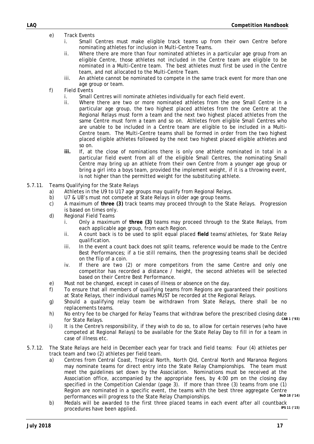- e) Track Events
	- i. Small Centres must make eligible track teams up from their own Centre before nominating athletes for inclusion in Multi-Centre Teams.
	- ii. Where there are more than four nominated athletes in a particular age group from an eligible Centre, those athletes not included in the Centre team are eligible to be nominated in a Multi-Centre team. The best athletes must first be used in the Centre team, and not allocated to the Multi-Centre Team.
	- iii. An athlete cannot be nominated to compete in the same track event for more than one age group or team.
- f) Field Events
	- i. Small Centres will nominate athletes individually for each field event.
	- ii. Where there are two or more nominated athletes from the one Small Centre in a particular age group, the two highest placed athletes from the one Centre at the Regional Relays must form a team and the next two highest placed athletes from the same Centre must form a team and so on. Athletes from eligible Small Centres who are unable to be included in a Centre team are eligible to be included in a Multi-Centre team. The Multi-Centre teams shall be formed in order from the two highest placed eligible athletes followed by the next two highest placed eligible athletes and so on.
	- **iii.** If, at the close of nominations there is only one athlete nominated in total in a particular field event from all of the eligible Small Centres, the nominating Small Centre may bring up an athlete from their own Centre from a younger age group or bring a girl into a boys team, provided the implement weight, if it is a throwing event, is not higher than the permitted weight for the substituting athlete.
- 5.7.11. Teams Qualifying for the State Relays
	- a) Athletes in the U9 to U17 age groups may qualify from Regional Relays.
	- b) U7 & U8's must not compete at State Relays in older age group teams.
	- c) A maximum of **three (3)** track teams may proceed through to the State Relays. Progression is based on times only.
	- d) Regional Field Teams
		- i. Only a maximum of **three (3)** teams may proceed through to the State Relays, from each applicable age group, from each Region.
		- ii. A count back is to be used to split equal placed **field** teams/athletes, for State Relay qualification.
		- iii. In the event a count back does not split teams, reference would be made to the Centre Best Performances; if a tie still remains, then the progressing teams shall be decided on the flip of a coin.
		- iv. If there are two (2) or more competitors from the same Centre and only one competitor has recorded a distance / height, the second athletes will be selected based on their Centre Best Performance.
	- e) Must not be changed, except in cases of illness or absence on the day.
	- f) To ensure that all members of qualifying teams from Regions are guaranteed their positions at State Relays, their individual names MUST be recorded at the Regional Relays.
	- g) Should a qualifying relay team be withdrawn from State Relays, there shall be no replacements teams.
	- h) No entry fee to be charged for Relay Teams that withdraw before the prescribed closing date<br>for State Bolays for State Relays.
	- i) It is the Centre's responsibility, if they wish to do so, to allow for certain reserves (who have competed at Regional Relays) to be available for the State Relay Day to fill in for a team in case of illness etc.
- 5.7.12. The State Relays are held in December each year for track and field teams: Four (4) athletes per track team and two (2) athletes per field team.
	- a) Centres from Central Coast, Tropical North, North Qld, Central North and Maranoa Regions may nominate teams for direct entry into the State Relay Championships. The team must meet the guidelines set down by the Association. Nominations must be received at the Association office, accompanied by the appropriate fees, by 4:00 pm on the closing day specified in the Competition Calendar (page 3). If more than three (3) teams from one (1) Region are nominated in a specific event, the teams with the best three aggregate Centre<br>norformances will progress to the State Polay Championships performances will progress to the State Relay Championships.
	- b) Medals will be awarded to the first three placed teams in each event after all countback procedures have been applied procedures have been applied.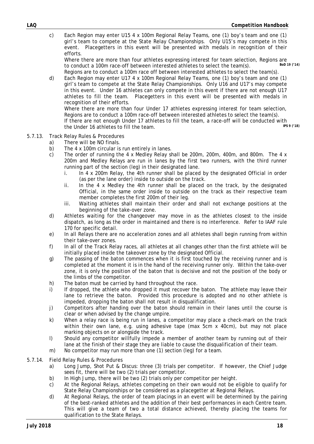c) Each Region may enter U15 4 x 100m Regional Relay Teams, one (1) boy's team and one (1) girl's team to compete at the State Relay Championships. Only U15's may compete in this event. Placegetters in this event will be presented with medals in recognition of their efforts.

Where there are more than four athletes expressing interest for team selection, Regions are<br>to conduct a 100m race-off between interested athletes to select the team(s)  $B_0D$  19 (14) to conduct a 100m race-off between interested athletes to select the team(s).

 Regions are to conduct a 100m race off between interested athletes to select the team(s). d) Each Region may enter U17 4 x 100m Regional Relay Teams, one (1) boy's team and one (1) girl's team to compete at the State Relay Championships. Only U16 and U17's may compete in this event. Under 16 athletes can only compete in this event if there are not enough U17 athletes to fill the team. Placegetters in this event will be presented with medals in recognition of their efforts.

 Where there are more than four Under 17 athletes expressing interest for team selection, Regions are to conduct a 100m race-off between interested athletes to select the team(s). If there are not enough Under 17 athletes to fill the team, a race-off will be conducted with<br>the Under 16 athletes to fill the team the Under 16 athletes to fill the team.

- 5.7.13. Track Relay Rules & Procedures
	- a) There will be NO finals.
	- b) The 4 x 100m circular is run entirely in lanes.
	- c) The order of running the 4 x Medley Relay shall be 200m, 200m, 400m, and 800m. The 4 x 200m and Medley Relays are run in lanes by the first two runners, with the third runner running part of the section (leg) in their designated lane.
		- i. In 4 x 200m Relay, the 4th runner shall be placed by the designated Official in order (as per the lane order) inside to outside on the track.
		- ii. In the 4 x Medley the 4th runner shall be placed on the track, by the designated Official, in the same order inside to outside on the track as their respective team member completes the first 200m of their leg.
		- iii. Waiting athletes shall maintain their order and shall not exchange positions at the beginning of the take-over zone.
	- d) Athletes waiting for the changeover may move in as the athletes closest to the inside dispatch, as long as the order in maintained and there is no interference. Refer to IAAF rule 170 for specific detail.
	- e) In all Relays there are no acceleration zones and all athletes shall begin running from within their take-over zones.
	- f) In all of the Track Relay races, all athletes at all changes other than the first athlete will be initially placed inside the takeover zone by the designated Official.
	- g) The passing of the baton commences when it is first touched by the receiving runner and is completed at the moment it is in the hand of the receiving runner only. Within the take-over zone, it is only the position of the baton that is decisive and not the position of the body or the limbs of the competitor.
	- h) The baton must be carried by hand throughout the race.
	- i) If dropped, the athlete who dropped it must recover the baton. The athlete may leave their lane to retrieve the baton. Provided this procedure is adopted and no other athlete is impeded, dropping the baton shall not result in disqualification.
	- j) Competitors after handing over the baton should remain in their lanes until the course is clear or when advised by the change umpire.
	- k) When a relay race is being run in lanes, a competitor may place a check-mark on the track within their own lane, e.g. using adhesive tape (max 5cm x 40cm), but may not place marking objects on or alongside the track.
	- l) Should any competitor willfully impede a member of another team by running out of their lane at the finish of their stage they are liable to cause the disqualification of their team.
	- m) No competitor may run more than one (1) section (leg) for a team.
- 5.7.14. Field Relay Rules & Procedures
	- a) Long Jump, Shot Put & Discus: three (3) trials per competitor. If however, the Chief Judge sees fit, there will be two (2) trials per competitor.
	- b) In High Jump, there will be two (2) trials only per competitor per height.
	- c) At the Regional Relays, athletes competing on their own would not be eligible to qualify for State Relay Championships or be considered as a placegetter at Regional Relays.
	- d) At Regional Relays, the order of team placings in an event will be determined by the pairing of the best-ranked athletes and the addition of their best performances in each Centre team. This will give a team of two a total distance achieved, thereby placing the teams for qualification to the State Relays.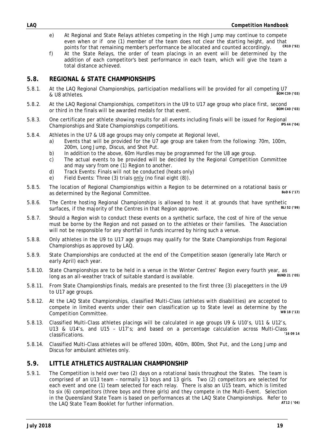- e) At Regional and State Relays athletes competing in the High Jump may continue to compete even when or if one (1) member of the team does not clear the starting height, and that<br>points for that remaining member's performance be allocated and counted accordingly points for that remaining member's performance be allocated and counted accordingly.
- f) At the State Relays, the order of team placings in an event will be determined by the addition of each competitor's best performance in each team, which will give the team a total distance achieved.

### **5.8. REGIONAL & STATE CHAMPIONSHIPS**

- 5.8.1. At the LAQ Regional Championships, participation medallions will be provided for all competing U7<br>
BOM C39 (03)  $&$  U8 athletes.
- 5.8.2. At the LAQ Regional Championships, competitors in the U9 to U17 age group who place first, second<br>
or third in the finals will be quarded models for that quant or third in the finals will be awarded medals for that event.
- 5.8.3. One certificate per athlete showing results for all events including finals will be issued for Regional<br>Championships and State Championships compatitions Championships and State Championships competitions.
- 5.8.4. Athletes in the U7 & U8 age groups may only compete at Regional level,
	- a) Events that will be provided for the U7 age group are taken from the following: 70m, 100m, 200m, Long Jump, Discus, and Shot Put.
	- b) In addition to the above, 60m Hurdles may be programmed for the U8 age group.
	- c) The actual events to be provided will be decided by the Regional Competition Committee and may vary from one (1) Region to another.
	- d) Track Events: Finals will not be conducted (heats only)
	- e) Field Events: Three (3) trials only (no final eight (8)).
- 5.8.5. The location of Regional Championships within a Region to be determined on a rotational basis or<br>as determined by the Regional Committee as determined by the Regional Committee.
- 5.8.6. The Centre hosting Regional Championships is allowed to host it at grounds that have synthetic surfaces if the majority of the Centres in that Pegion approve surfaces, if the majority of the Centres in that Region approve.
- 5.8.7. Should a Region wish to conduct these events on a synthetic surface, the cost of hire of the venue must be borne by the Region and not passed on to the athletes or their families. The Association will not be responsible for any shortfall in funds incurred by hiring such a venue.
- 5.8.8. Only athletes in the U9 to U17 age groups may qualify for the State Championships from Regional Championships as approved by LAQ.
- 5.8.9. State Championships are conducted at the end of the Competition season (generally late March or early April) each year.
- 5.8.10. State Championships are to be held in a venue in the Winter Centres' Region every fourth year, as<br>long as an all weather track of suitable standard is available. long as an all-weather track of suitable standard is available.
- 5.8.11. From State Championships finals, medals are presented to the first three (3) placegetters in the U9 to U17 age groups.
- 5.8.12. At the LAQ State Championships, classified Multi-Class (athletes with disabilities) are accepted to compete in limited events under their own classification up to State level as determine by the<br>Composition Committee **Competition Committee.**
- 5.8.13. Classified Multi-Class athletes placings will be calculated in age groups U9 & U10's, U11 & U12's, U13 & U14's, and U15 - U17's; and based on a percentage calculation across Multi-Class  $classifications.$
- 5.8.14. Classified Multi-Class athletes will be offered 100m, 400m, 800m, Shot Put, and the Long Jump and Discus for ambulant athletes only.

### **5.9. LITTLE ATHLETICS AUSTRALIAN CHAMPIONSHIP**

5.9.1. The Competition is held over two (2) days on a rotational basis throughout the States. The team is comprised of an U13 team – normally 13 boys and 13 girls. Two (2) competitors are selected for each event and one (1) team selected for each relay. There is also an U15 team, which is limited to six (6) competitors (three boys and three girls) and they compete in the Multi-Event. Selection in the Queensland State Team is based on performances at the LAQ State Championships. Refer to<br>the LAQ State Team Booklet for further information the LAQ State Team Booklet for further information.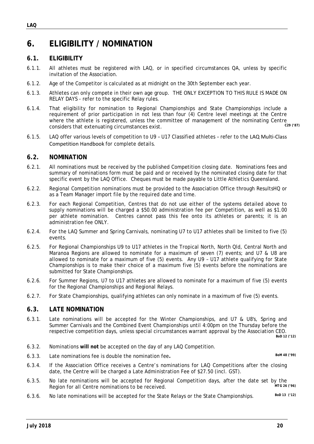### **6. ELIGIBILITY / NOMINATION**

### **6.1. ELIGIBILITY**

- 6.1.1. All athletes must be registered with LAQ, or in specified circumstances QA, unless by specific invitation of the Association.
- 6.1.2. Age of the Competitor is calculated as at midnight on the 30th September each year.
- 6.1.3. Athletes can only compete in their own age group. THE ONLY EXCEPTION TO THIS RULE IS MADE ON RELAY DAYS - refer to the specific Relay rules.
- 6.1.4. That eligibility for nomination to Regional Championships and State Championships include a requirement of prior participation in not less than four (4) Centre level meetings at the Centre where the athlete is registered, unless the committee of management of the nominating Centre considers that extenuating circumstances exist. *C29 ('87)*
- 6.1.5. LAQ offer various levels of competition to U9 U17 Classified athletes refer to the LAQ Multi‐Class Competition Handbook for complete details.

### **6.2. NOMINATION**

- 6.2.1. All nominations must be received by the published Competition closing date. Nominations fees and summary of nominations form must be paid and or received by the nominated closing date for that specific event by the LAQ Office. Cheques must be made payable to Little Athletics Queensland.
- 6.2.2. Regional Competition nominations must be provided to the Association Office through ResultsHQ or as a Team Manager import file by the required date and time.
- 6.2.3. For each Regional Competition, Centres that do not use either of the systems detailed above to supply nominations will be charged a \$50.00 administration fee per Competition, as well as \$1.00 per athlete nomination. Centres cannot pass this fee onto its athletes or parents; it is an administration fee ONLY.
- 6.2.4. For the LAQ Summer and Spring Carnivals, nominating U7 to U17 athletes shall be limited to five (5) events.
- 6.2.5. For Regional Championships U9 to U17 athletes in the Tropical North, North Qld, Central North and Maranoa Regions are allowed to nominate for a maximum of seven (7) events; and U7 & U8 are allowed to nominate for a maximum of five (5) events. Any U9 – U17 athlete qualifying for State Championships is to make their choice of a maximum five (5) events before the nominations are submitted for State Championships.
- 6.2.6. For Summer Regions, U7 to U17 athletes are allowed to nominate for a maximum of five (5) events for the Regional Championships and Regional Relays.
- 6.2.7. For State Championships, qualifying athletes can only nominate in a maximum of five (5) events.

### **6.3. LATE NOMINATION**

6.3.1. Late nominations will be accepted for the Winter Championships, and U7 & U8's, Spring and Summer Carnivals and the Combined Event Championships until 4:00pm on the Thursday before the respective competition days, unless special circumstances warrant approval by the Association CEO. *BoD 12 ('12)*

- 6.3.2. Nominations **will not** be accepted on the day of any LAQ Competition.
- 6.3.3. Late nominations fee is double the nomination fee**.** *BoM 48 ('99)*

- 6.3.5. No late nominations will be accepted for Regional Competition days, after the date set by the<br>Region for all Centre nominations to be received Region for all Centre nominations to be received.
- 6.3.6. No late nominations will be accepted for the State Relays or the State Championships. *BoD 13 ('12)*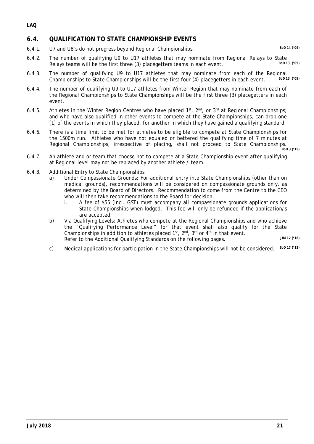### **6.4. QUALIFICATION TO STATE CHAMPIONSHIP EVENTS**

6.4.1. U7 and U8's do not progress beyond Regional Championships. *BoD 14 ('09)*

- 6.4.2. The number of qualifying U9 to U17 athletes that may nominate from Regional Relays to State<br>Belays to grams will be the first three (2) pleasastters teams in each event. Relays teams will be the first three (3) placegetters teams in each event.
- 6.4.3. The number of qualifying U9 to U17 athletes that may nominate from each of the Regional<br>Championships to State Championships will be the first four (4) placeaetters in each ovent Bold 13 (199) Championships to State Championships will be the first four (4) placegetters in each event.
- 6.4.4. The number of qualifying U9 to U17 athletes from Winter Region that may nominate from each of the Regional Championships to State Championships will be the first three (3) placegetters in each event.
- 6.4.5. Athletes in the Winter Region Centres who have placed  $1^{st}$ ,  $2^{nd}$ , or  $3^{rd}$  at Regional Championships; and who have also qualified in other events to compete at the State Championships, can drop one (1) of the events in which they placed, for another in which they have gained a qualifying standard.
- 6.4.6. There is a time limit to be met for athletes to be eligible to compete at State Championships for the 1500m run. Athletes who have not equaled or bettered the qualifying time of 7 minutes at Regional Championships, irrespective of placing, shall not proceed to State Championships.

*BoD 3 ('15)*

- 6.4.7. An athlete and or team that choose not to compete at a State Championship event after qualifying at Regional level may not be replaced by another athlete / team.
- 6.4.8. Additional Entry to State Championships
	- a) Under Compassionate Grounds: For additional entry into State Championships (other than on medical grounds), recommendations will be considered on compassionate grounds only, as determined by the Board of Directors. Recommendation to come from the Centre to the CEO who will then take recommendations to the Board for decision.
		- i. A fee of \$55 (incl. GST) must accompany all compassionate grounds applications for State Championships when lodged. This fee will only be refunded if the application/s are accepted.
	- b) Via Qualifying Levels: Athletes who compete at the Regional Championships and who achieve the "Qualifying Performance Level" for that event shall also qualify for the State Championships in addition to athletes placed 1st, 2nd, 3rd or 4th in that event. Refer to the Additional Qualifying Standards on the following pages. *JIM 12 ('18)*
	- c) Medical applications for participation in the State Championships will not be considered.*BoD 17 ('13)*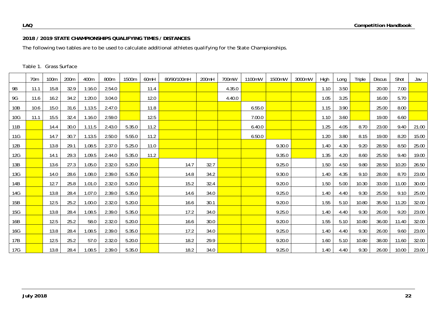### **2018 / 2019 STATE CHAMPIONSHIPS QUALIFYING TIMES / DISTANCES**

The following two tables are to be used to calculate additional athletes qualifying for the State Championships.

|     | 70 <sub>m</sub> | 100m | 200m | 400m   | 800m   | 1500m  | 60mH | 80/90/100mH | 200mH | 700mW  | 1100mW | 1500mW | 3000mW | High | Long | Triple | <b>Discus</b> | Shot  | Jav   |
|-----|-----------------|------|------|--------|--------|--------|------|-------------|-------|--------|--------|--------|--------|------|------|--------|---------------|-------|-------|
| 9B  | 11.1            | 15.8 | 32.9 | 1:16.0 | 2.54.0 |        | 11.4 |             |       | 4.35.0 |        |        |        | 1.10 | 3.50 |        | 20.00         | 7.00  |       |
| 9G  | 11.6            | 16.2 | 34.2 | 1:20.0 | 3.04.0 |        | 12.0 |             |       | 4.40.0 |        |        |        | 1.05 | 3.25 |        | 16.00         | 5.70  |       |
| 10B | 10.6            | 15.0 | 31.6 | 1.13.5 | 2.47.0 |        | 11.8 |             |       |        | 6.55.0 |        |        | 1.15 | 3.90 |        | 25.00         | 8.00  |       |
| 10G | 11.1            | 15.5 | 32.4 | 1.16.0 | 2.59.0 |        | 12.5 |             |       |        | 7.00.0 |        |        | 1.10 | 3.60 |        | 19.00         | 6.60  |       |
| 11B |                 | 14.4 | 30.0 | 1.11.5 | 2.43.0 | 5.35.0 | 11.2 |             |       |        | 6.40.0 |        |        | 1.25 | 4.05 | 8.70   | 23.00         | 9.40  | 21.00 |
| 11G |                 | 14.7 | 30.7 | 1.13.5 | 2.50.0 | 5.55.0 | 11.2 |             |       |        | 6.50.0 |        |        | 1.20 | 3.80 | 8.15   | 19.00         | 8.20  | 15.00 |
| 12B |                 | 13.8 | 29.1 | 1.08.5 | 2.37.0 | 5.25.0 | 11.0 |             |       |        |        | 9.30.0 |        | 1.40 | 4.30 | 9.20   | 28.50         | 8.50  | 25.00 |
| 12G |                 | 14.1 | 29.3 | 1.09.5 | 2.44.0 | 5.35.0 | 11.2 |             |       |        |        | 9.35.0 |        | 1.35 | 4.20 | 8.60   | 25.50         | 9.40  | 19.00 |
| 13B |                 | 13.6 | 27.3 | 1.05.0 | 2.32.0 | 5.20.0 |      | 14.7        | 32.7  |        |        | 9.25.0 |        | 1.50 | 4.50 | 9.80   | 28.50         | 10.20 | 26.50 |
| 13G |                 | 14.0 | 28.6 | 1.08.0 | 2.39.0 | 5.35.0 |      | 14.8        | 34.2  |        |        | 9.30.0 |        | 1.40 | 4.35 | 9.10   | 28.00         | 8.70  | 23.00 |
| 14B |                 | 12.7 | 25.8 | 1.01.0 | 2.32.0 | 5.20.0 |      | 15.2        | 32.4  |        |        | 9.20.0 |        | 1.50 | 5.00 | 10.30  | 33.00         | 11.00 | 30.00 |
| 14G |                 | 13.8 | 28.4 | 1.07.0 | 2.39.0 | 5.35.0 |      | 14.6        | 34.0  |        |        | 9.25.0 |        | 1.40 | 4.40 | 9.30   | 25.50         | 9.10  | 25.00 |
| 15B |                 | 12.5 | 25.2 | 1.00.0 | 2.32.0 | 5.20.0 |      | 16.6        | 30.1  |        |        | 9.20.0 |        | 1.55 | 5.10 | 10.80  | 35.50         | 11.20 | 32.00 |
| 15G |                 | 13.8 | 28.4 | 1.08.5 | 2.39.0 | 5.35.0 |      | 17.2        | 34.0  |        |        | 9.25.0 |        | 1.40 | 4.40 | 9.30   | 26.00         | 9.20  | 23.00 |
| 16B |                 | 12.5 | 25.2 | 58.0   | 2.32.0 | 5.20.0 |      | 16.6        | 30.0  |        |        | 9.20.0 |        | 1.55 | 5.10 | 10.80  | 36.00         | 11.40 | 32.00 |
| 16G |                 | 13.8 | 28.4 | 1.08.5 | 2.39.0 | 5.35.0 |      | 17.2        | 34.0  |        |        | 9.25.0 |        | 1.40 | 4.40 | 9.30   | 26.00         | 9.60  | 23.00 |
| 17B |                 | 12.5 | 25.2 | 57.0   | 2.32.0 | 5.20.0 |      | 18.2        | 29.9  |        |        | 9.20.0 |        | 1.60 | 5.10 | 10.80  | 38.00         | 11.60 | 32.00 |
| 17G |                 | 13.8 | 28.4 | 1.08.5 | 2.39.0 | 5.35.0 |      | 18.2        | 34.0  |        |        | 9.25.0 |        | 1.40 | 4.40 | 9.30   | 26.00         | 10.00 | 23.00 |

#### Table 1. Grass Surface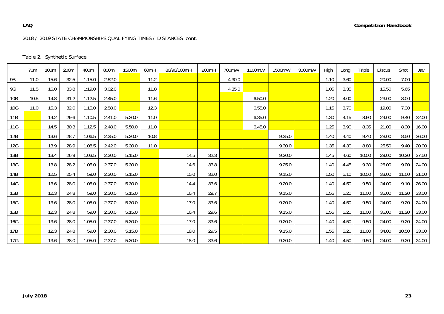2018 / 2019 STATE CHAMPIONSHIPS QUALIFYING TIMES / DISTANCES *cont.*

|  | Table 2. Synthetic Surface |
|--|----------------------------|
|--|----------------------------|

|            | 70 <sub>m</sub> | 100m | 200m | 400m   | 800m   | 1500m  | 60 <sub>mH</sub> | 80/90/100mH | 200mH | 700mW  | 1100mW | 1500mW | 3000mW | High | Long | Triple | <b>Discus</b> | Shot  | Jav   |
|------------|-----------------|------|------|--------|--------|--------|------------------|-------------|-------|--------|--------|--------|--------|------|------|--------|---------------|-------|-------|
| 9B         | 11.0            | 15.6 | 32.5 | 1:15.0 | 2.52.0 |        | 11.2             |             |       | 4.30.0 |        |        |        | 1.10 | 3.60 |        | 20.00         | 7.00  |       |
| 9G         | 11.5            | 16.0 | 33.8 | 1:19.0 | 3.02.0 |        | 11.8             |             |       | 4.35.0 |        |        |        | 1.05 | 3.35 |        | 15.50         | 5.65  |       |
| 10B        | 10.5            | 14.8 | 31.2 | 1.12.5 | 2.45.0 |        | 11.6             |             |       |        | 6.50.0 |        |        | 1.20 | 4.00 |        | 23.00         | 8.00  |       |
| 10G        | 11.0            | 15.3 | 32.0 | 1.15.0 | 2.58.0 |        | 12.3             |             |       |        | 6.55.0 |        |        | 1.15 | 3.70 |        | 19.00         | 7.30  |       |
| 11B        |                 | 14.2 | 29.6 | 1.10.5 | 2.41.0 | 5.30.0 | 11.0             |             |       |        | 6.35.0 |        |        | 1.30 | 4.15 | 8.90   | 24.00         | 9.40  | 22.00 |
| 11G        |                 | 14.5 | 30.3 | 1.12.5 | 2.48.0 | 5.50.0 | 11.0             |             |       |        | 6.45.0 |        |        | 1.25 | 3.90 | 8.35   | 21.00         | 8.30  | 16.00 |
| 12B        |                 | 13.6 | 28.7 | 1.06.5 | 2.35.0 | 5.20.0 | 10.8             |             |       |        |        | 9.25.0 |        | 1.40 | 4.40 | 9.40   | 28.00         | 8.50  | 26.00 |
| 12G        |                 | 13.9 | 28.9 | 1.08.5 | 2.42.0 | 5.30.0 | 11.0             |             |       |        |        | 9.30.0 |        | 1.35 | 4.30 | 8.80   | 25.50         | 9.40  | 20.00 |
| 13B        |                 | 13.4 | 26.9 | 1.03.5 | 2.30.0 | 5.15.0 |                  | 14.5        | 32.3  |        |        | 9.20.0 |        | 1.45 | 4.60 | 10.00  | 29.00         | 10.20 | 27.50 |
| 13G        |                 | 13.8 | 28.2 | 1.05.0 | 2.37.0 | 5.30.0 |                  | 14.6        | 33.8  |        |        | 9.25.0 |        | 1.40 | 4.45 | 9.30   | 26.00         | 9.00  | 24.00 |
| 14B        |                 | 12.5 | 25.4 | 59.0   | 2.30.0 | 5.15.0 |                  | 15.0        | 32.0  |        |        | 9.15.0 |        | 1.50 | 5.10 | 10.50  | 33.00         | 11.00 | 31.00 |
| 14G        |                 | 13.6 | 28.0 | 1.05.0 | 2.37.0 | 5.30.0 |                  | 14.4        | 33.6  |        |        | 9.20.0 |        | 1.40 | 4.50 | 9.50   | 24.00         | 9.10  | 26.00 |
| 15B        |                 | 12.3 | 24.8 | 59.0   | 2.30.0 | 5.15.0 |                  | 16.4        | 29.7  |        |        | 9.15.0 |        | 1.55 | 5.20 | 11.00  | 36.00         | 11.20 | 33.00 |
| <b>15G</b> |                 | 13.6 | 28.0 | 1.05.0 | 2.37.0 | 5.30.0 |                  | 17.0        | 33.6  |        |        | 9.20.0 |        | 1.40 | 4.50 | 9.50   | 24.00         | 9.20  | 24.00 |
| 16B        |                 | 12.3 | 24.8 | 59.0   | 2.30.0 | 5.15.0 |                  | 16.4        | 29.6  |        |        | 9.15.0 |        | 1.55 | 5.20 | 11.00  | 36.00         | 11.20 | 33.00 |
| <b>16G</b> |                 | 13.6 | 28.0 | 1.05.0 | 2.37.0 | 5.30.0 |                  | 17.0        | 33.6  |        |        | 9.20.0 |        | 1.40 | 4.50 | 9.50   | 24.00         | 9.20  | 24.00 |
| 17B        |                 | 12.3 | 24.8 | 59.0   | 2.30.0 | 5.15.0 |                  | 18.0        | 29.5  |        |        | 9.15.0 |        | 1.55 | 5.20 | 11.00  | 34.00         | 10.50 | 33.00 |
| 17G        |                 | 13.6 | 28.0 | 1.05.0 | 2.37.0 | 5.30.0 |                  | 18.0        | 33.6  |        |        | 9.20.0 |        | 1.40 | 4.50 | 9.50   | 24.00         | 9.20  | 24.00 |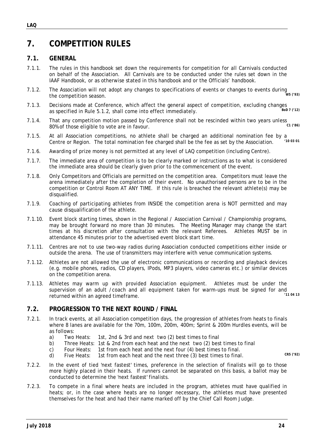# **7. COMPETITION RULES**

### **7.1. GENERAL**

- 7.1.1. The rules in this handbook set down the requirements for competition for all Carnivals conducted on behalf of the Association. All Carnivals are to be conducted under the rules set down in the IAAF Handbook, or as otherwise stated in this handbook and or the Officials' handbook.
- 7.1.2. The Association will not adopt any changes to specifications of events or changes to events during the competition season. *W5 ('93)*
- 7.1.3. Decisions made at Conference, which affect the general aspect of competition, excluding changes<br>as specified in Pule 5.1.2, shall come inte effect immediately as specified in Rule 5.1.2, shall come into effect immediately.
- 7.1.4. That any competition motion passed by Conference shall not be rescinded within two years unless 80% of those eligible to vote are in favour. *C1 ('86)*
- 7.1.5. At all Association competitions, no athlete shall be charged an additional nomination fee by a<br>Contro or Pogion. The total nomination foe charged shall be the foe as set by the Association (1993.91) Centre or Region. The total nomination fee charged shall be the fee as set by the Association.
- 7.1.6. Awarding of prize money is not permitted at any level of LAQ competition (including Centre).
- 7.1.7. The immediate area of competition is to be clearly marked or instructions as to what is considered the immediate area should be clearly given prior to the commencement of the event.
- 7.1.8. Only Competitors and Officials are permitted on the competition area. Competitors must leave the arena immediately after the completion of their event. No unauthorised persons are to be in the competition or Control Room AT ANY TIME. If this rule is breached the relevant athlete(s) may be disqualified.
- 7.1.9. Coaching of participating athletes from INSIDE the competition arena is NOT permitted and may cause disqualification of the athlete.
- 7.1.10. Event block starting times, shown in the Regional / Association Carnival / Championship programs, may be brought forward no more than 30 minutes. The Meeting Manager may change the start times at his discretion after consultation with the relevant Referees. Athletes MUST be in attendance 45 minutes prior to the advertised event block start time.
- 7.1.11. Centres are not to use two-way radios during Association conducted competitions either inside or outside the arena. The use of transmitters may interfere with venue communication systems.
- 7.1.12. Athletes are not allowed the use of electronic communications or recording and playback devices (e.g. mobile phones, radios, CD players, IPods, MP3 players, video cameras etc.) or similar devices on the competition arena.
- 7.1.13. Athletes may warm up with provided Association equipment. Athletes must be under the supervision of an adult /coach and all equipment taken for warm-ups must be signed for and<br>returned within an agreed timeframe returned within an agreed timeframe.

### **7.2. PROGRESSION TO THE NEXT ROUND / FINAL**

- 7.2.1. In track events, at all Association competition days, the progression of athletes from heats to finals where 8 lanes are available for the 70m, 100m, 200m, 400m; Sprint & 200m Hurdles events, will be as follows:
	- a) Two Heats: 1st, 2nd & 3rd and next two (2) best times to final
	- b) Three Heats: 1st & 2nd from each heat and the next two (2) best times to final
	- c) Four Heats: 1st from each heat and the next four (4) best times to final.
	- d) Five Heats: 1st from each heat and the next three (3) best times to final. *CR5 ('92)*
- 7.2.2. In the event of tied 'next fastest' times, preference in the selection of finalists will go to those more highly placed in their heats. If runners cannot be separated on this basis, a ballot may be conducted to determine the 'next fastest' finalists.
- 7.2.3. To compete in a final where heats are included in the program, athletes must have qualified in heats; or, in the case where heats are no longer necessary, the athletes must have presented themselves for the heat and had their name marked off by the Chief Call Room Judge.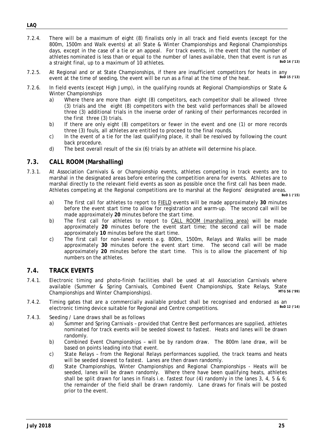- 7.2.4. There will be a maximum of eight (8) finalists only in all track and field events (except for the 800m, 1500m and Walk events) at all State & Winter Championships and Regional Championships days, except in the case of a tie or an appeal. For track events, in the event that the number of athletes nominated is less than or equal to the number of lanes available, then that event is run as<br>a straight final, up to a maximum of 10 othletes a straight final, up to a maximum of 10 athletes.
- 7.2.5. At Regional and or at State Championships, if there are insufficient competitors for heats in any such that the time of seeding the quant will be run as a final at the time of the heat. event at the time of seeding, the event will be run as a final at the time of the heat.
- 7.2.6. In field events (except High Jump), in the qualifying rounds at Regional Championships or State & Winter Championships
	- a) Where there are more than eight (8) competitors, each competitor shall be allowed three (3) trials and the eight (8) competitors with the best valid performances shall be allowed three (3) additional trials in the inverse order of ranking of their performances recorded in the first three (3) trials.
	- b) If there are only eight (8) competitors or fewer in the event and one (1) or more records three (3) fouls, all athletes are entitled to proceed to the final rounds.
	- c) In the event of a tie for the last qualifying place, it shall be resolved by following the count back procedure.
	- d) The best overall result of the six (6) trials by an athlete will determine his place.

### **7.3. CALL ROOM (Marshalling)**

7.3.1. At Association Carnivals & or Championship events, athletes competing in track events are to marshal in the designated areas before entering the competition arena for events. Athletes are to marshal directly to the relevant field events as soon as possible once the first call has been made. Athletes competing at the Regional competitions are to marshal at the Regions' designated areas.

*BoD 1 ('15)*

- a) The first call for athletes to report to FIELD events will be made approximately **30** minutes before the event start time to allow for registration and warm-up. The second call will be made approximately **20** minutes before the start time.
- b) The first call for athletes to report to CALL ROOM (marshalling area) will be made approximately **20** minutes before the event start time; the second call will be made approximately **10** minutes before the start time.
- c) The first call for non-laned events e.g. 800m, 1500m, Relays and Walks will be made approximately **30** minutes before the event start time. The second call will be made approximately **20** minutes before the start time. This is to allow the placement of hip numbers on the athletes.

### **7.4. TRACK EVENTS**

- 7.4.1. Electronic timing and photo-finish facilities shall be used at all Association Carnivals where available (Summer & Spring Carnivals, Combined Event Championships, State Relays, State<br>Championships and Winter Championships) Championships and Winter Championships).
- 7.4.2. Timing gates that are a commercially available product shall be recognised and endorsed as an olectronic timing device suitable for Pegional and Contro compositions electronic timing device suitable for Regional and Centre competitions.
- 7.4.3. Seeding / Lane draws shall be as follows
	- a) Summer and Spring Carnivals provided that Centre Best performances are supplied, athletes nominated for track events will be seeded slowest to fastest. Heats and lanes will be drawn randomly.
	- b) Combined Event Championships will be by random draw. The 800m lane draw, will be based on points leading into that event.
	- c) State Relays from the Regional Relays performances supplied, the track teams and heats will be seeded slowest to fastest. Lanes are then drawn randomly.
	- d) State Championships, Winter Championships and Regional Championships Heats will be seeded, lanes will be drawn randomly. Where there have been qualifying heats, athletes shall be split drawn for lanes in finals i.e. fastest four (4) randomly in the lanes 3, 4, 5 & 6; the remainder of the field shall be drawn randomly. Lane draws for finals will be posted prior to the event.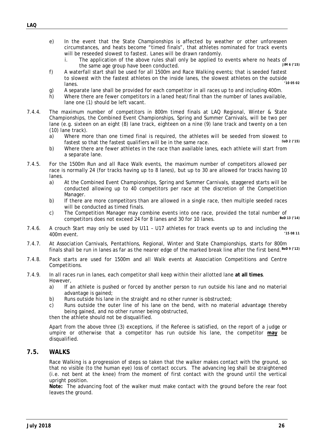- - e) In the event that the State Championships is affected by weather or other unforeseen circumstances, and heats become "timed finals", that athletes nominated for track events will be reseeded slowest to fastest. Lanes will be drawn randomly.
		- i. The application of the above rules shall only be applied to events where no heats of  $\frac{1}{100}$  in  $\frac{6}{15}$ the same age group have been conducted.
	- f) A waterfall start shall be used for all 1500m and Race Walking events; that is seeded fastest to slowest with the fastest athletes on the inside lanes, the slowest athletes on the outside<br>lanos lanes. *'10 05 02*
	- g) A separate lane shall be provided for each competitor in all races up to and including 400m.
	- h) Where there are fewer competitors in a laned heat/final than the number of lanes available, lane one (1) should be left vacant.
- 7.4.4. The maximum number of competitors in 800m timed finals at LAQ Regional, Winter & State Championships, the Combined Event Championships, Spring and Summer Carnivals, will be two per lane (e.g. sixteen on an eight (8) lane track, eighteen on a nine (9) lane track and twenty on a ten (10) lane track).
	- a) Where more than one timed final is required, the athletes will be seeded from slowest to factost so that the factost qualifiers will be in the same race. fastest so that the fastest qualifiers will be in the same race.
	- b) Where there are fewer athletes in the race than available lanes, each athlete will start from a separate lane.
- 7.4.5. For the 1500m Run and all Race Walk events, the maximum number of competitors allowed per race is normally 24 (for tracks having up to 8 lanes), but up to 30 are allowed for tracks having 10 lanes.
	- a) At the Combined Event Championships, Spring and Summer Carnivals, staggered starts will be conducted allowing up to 40 competitors per race at the discretion of the Competition Manager.
	- b) If there are more competitors than are allowed in a single race, then multiple seeded races will be conducted as timed finals.
	- c) The Competition Manager may combine events into one race, provided the total number of<br>
	compositions does not exceed 24 for 8 lanes and 20 for 10 lanes competitors does not exceed 24 for 8 lanes and 30 for 10 lanes.
- 7.4.6. A crouch Start may only be used by U11 U17 athletes for track events up to and including the 400m event. *'15 08 11*
- 7.4.7. At Association Carnivals, Pentathlons, Regional, Winter and State Championships, starts for 800m finals shall be run in lanes as far as the nearer edge of the marked break line after the first bend. *BoD 9 ('12)*
- 7.4.8. Pack starts are used for 1500m and all Walk events at Association Competitions and Centre Competitions.
- 7.4.9. In all races run in lanes, each competitor shall keep within their allotted lane **at all times**. However,
	- a) If an athlete is pushed or forced by another person to run outside his lane and no material advantage is gained;
	- b) Runs outside his lane in the straight and no other runner is obstructed:
	- c) Runs outside the outer line of his lane on the bend, with no material advantage thereby being gained, and no other runner being obstructed,

then the athlete should not be disqualified.

 Apart from the above three (3) exceptions, if the Referee is satisfied, on the report of a judge or umpire or otherwise that a competitor has run outside his lane, the competitor **may** be disqualified.

### **7.5. WALKS**

Race Walking is a progression of steps so taken that the walker makes contact with the ground, so that no visible (to the human eye) loss of contact occurs. The advancing leg shall be straightened (i.e. not bent at the knee) from the moment of first contact with the ground until the vertical upright position.

**Note:** The advancing foot of the walker must make contact with the ground before the rear foot leaves the ground.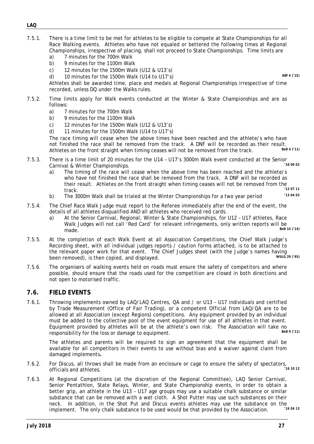- 7.5.1. There is a time limit to be met for athletes to be eligible to compete at State Championships for all Race Walking events. Athletes who have not equaled or bettered the following times at Regional Championships, irrespective of placing, shall not proceed to State Championships. Time limits are
	- a) 7 minutes for the 700m Walk
	- b) 9 minutes for the 1100m Walk
	- c) 12 minutes for the 1500m Walk (U12 & U13's)
	- d) 10 minutes for the 1500m Walk (U14 to U17's) *ASP 4 ('15)*

 Athletes shall be awarded time, place and medals at Regional Championships irrespective of time recorded, unless DQ under the Walks rules.

- 7.5.2. Time limits apply for Walk events conducted at the Winter & State Championships and are as follows:
	- a) 7 minutes for the 700m Walk
	- b) 9 minutes for the 1100m Walk
	- c) 12 minutes for the 1500m Walk (U12 & U13's)
	- d) 11 minutes for the 1500m Walk (U14 to U17's)

The race timing will cease when the above times have been reached and the athlete/s who have not finished the race shall be removed from the track. A DNF will be recorded as their result. Athletes on the front straight when timing ceases will not be removed from the track.

- 7.5.3. There is a time limit of 20 minutes for the U14 U17's 3000m Walk event conducted at the Senior<br>Carnival & Winter Championships Carnival & Winter Championships.
	- a) The timing of the race will cease when the above time has been reached and the athlete/s who have not finished the race shall be removed from the track. A DNF will be recorded as their result. Athletes on the front straight when timing ceases will not be removed from the<br>track track. *'12 07 11*
	- b) The 3000m Walk shall be trialed at the Winter Championships for a two year period *'13 04 03*
- 7.5.4. The Chief Race Walk Judge must report to the Referee immediately after the end of the event, the details of all athletes disqualified AND all athletes who received red cards.
	- a) At the Senior Carnival, Regional, Winter & State Championships, for U12 U17 athletes, Race Walk Judges will not call 'Red Card' for relevant infringements, only written reports will be<br>mode for 14 (14) made. *BoD 14 ('14)*
- 7.5.5. At the completion of each Walk Event at all Association Competitions, the Chief Walk Judge's Recording sheet, with all individual judges reports / caution forms attached, is to be attached to the relevant paper work for that event. The Chief Judges sheet (with the Judge's names having<br>been removed), is then conjed, and displayed been removed), is then copied, and displayed.
- 7.5.6. The organisers of walking events held on roads must ensure the safety of competitors and where possible, should ensure that the roads used for the competition are closed in both directions and not open to motorised traffic.

### **7.6. FIELD EVENTS**

7.6.1. Throwing implements owned by LAQ/LAQ Centres, QA and / or U13 – U17 individuals and certified by Trade Measurement (Office of Fair Trading), or a competent Official from LAQ/QA are to be allowed at all Association (except Regions) competitions. Any equipment provided by an individual must be added to the collective pool of the event equipment for use of all athletes in that event. Equipment provided by athletes will be at the athlete's own risk. The Association will take no<br>recononsibility for the loss or domage to equipment responsibility for the loss or damage to equipment.

 The athletes and parents will be required to sign an agreement that the equipment shall be available for all competitors in their events to use without bias and a waiver against claim from damaged implements*.* 

- 7.6.2. For Discus, all throws shall be made from an enclosure or cage to ensure the safety of spectators, officials and athletes. *'16 10 12*
- 7.6.3. At Regional Competitions (at the discretion of the Regional Committee), LAQ Senior Carnival, Senior Pentathlon, State Relays, Winter, and State Championship events, in order to obtain a better grip, an athlete in the U13 – U17 age groups may use a suitable chalk substance or similar substance that can be removed with a wet cloth. A Shot Putter may use such substances on their neck. In addition, in the Shot Put and Discus events athletes may use the substance on the<br>implement. The only shall substance to be used would be that provided by the Association. implement. The only chalk substance to be used would be that provided by the Association.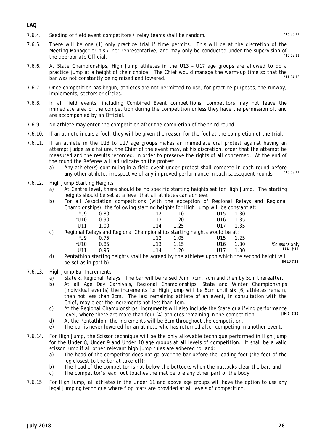#### *LAQ*

- 7.6.4. Seeding of field event competitors / relay teams shall be random. *'15 08 11*
- 7.6.5. There will be one (1) only practice trial if time permits. This will be at the discretion of the Meeting Manager or his / her representative; and may only be conducted under the supervision of<br>the engrapriate Official the appropriate Official.
- 7.6.6. At State Championships, High Jump athletes in the U13 U17 age groups are allowed to do a practice jump at a height of their choice. The Chief would manage the warm-up time so that the<br>har was not constantly being raised and lowered bar was not constantly being raised and lowered.
- 7.6.7. Once competition has begun, athletes are not permitted to use, for practice purposes, the runway, implements, sectors or circles.
- 7.6.8. In all field events, including Combined Event competitions, competitors may not leave the immediate area of the competition during the competition unless they have the permission of, and are accompanied by an Official.
- 7.6.9. No athlete may enter the competition after the completion of the third round.
- 7.6.10. If an athlete incurs a foul, they will be given the reason for the foul at the completion of the trial.
- 7.6.11. If an athlete in the U13 to U17 age groups makes an immediate oral protest against having an attempt judge as a failure, the Chief of the event may, at his discretion, order that the attempt be measured and the results recorded, in order to preserve the rights of all concerned. At the end of the round the Referee will adjudicate on the protest
	- a) Any athlete(s) continuing in a field event under protest shall compete in each round before  $(15.08, 11)$ any other athlete, irrespective of any improved performance in such subsequent rounds.
- 7.6.12. High Jump Starting Heights
	- a) At Centre level, there should be no specific starting heights set for High Jump. The starting heights should be set at a level that all athletes can achieve.
	- b) For all Association competitions (with the exception of Regional Relays and Regional Championships), the following starting heights for High Jump will be constant at:

|                       | 1.30 | U15             | 1.10 | U12                                                                      | 0.80 | *U9    |    |  |
|-----------------------|------|-----------------|------|--------------------------------------------------------------------------|------|--------|----|--|
|                       | 1.35 | U <sub>16</sub> | 1.20 | U13                                                                      | 0.90 | $*U10$ |    |  |
|                       | 1.35 | U17             | 1.25 | U14                                                                      | 1.00 | U11    |    |  |
|                       |      |                 |      | Regional Relays and Regional Championships starting heights would be at: |      |        | C) |  |
|                       | 1.25 | U15             | 1.05 | U12                                                                      | 0.75 | *U9    |    |  |
| <i>*Scissors only</i> | 1.30 | U <sub>16</sub> | 1.15 | U13                                                                      | 0.85 | $*U10$ |    |  |
| LAA ('15)             | 1.30 |                 | .20  | U14                                                                      | 0.95 | 1111   |    |  |
|                       |      |                 |      |                                                                          |      |        |    |  |

- d) Pentathlon starting heights shall be agreed by the athletes upon which the second height will  $\frac{1}{100}$  m  $\frac{1}{100}$  (13) be set as in part b).
- 7.6.13. High Jump Bar Increments
	- a) State & Regional Relays: The bar will be raised 7cm, 7cm, 7cm and then by 5cm thereafter.
	- b) At all Age Day Carnivals, Regional Championships, State and Winter Championships (individual events) the increments for High Jump will be 5cm until six (6) athletes remain, then not less than 2cm. The last remaining athlete of an event, in consultation with the Chief, may elect the increments not less than 1cm.
	- c) At the Regional Championships, increments will also include the State qualifying performance<br>level where there are more than four (A) athletes remaining in the competition level, where there are more than four (4) athletes remaining in the competition.
	- d) At the Pentathlon, the increments will be 3cm throughout the competition.
	- e) The bar is never lowered for an athlete who has returned after competing in another event.
- 7.6.14. For High Jump, the Scissor technique will be the only allowable technique performed in High Jump for the Under 8, Under 9 and Under 10 age groups at all levels of competition. It shall be a valid scissor jump if all other relevant high jump rules are adhered to, and:
	- a) The head of the competitor does not go over the bar before the leading foot (the foot of the leg closest to the bar at take-off);
	- b) The head of the competitor is not below the buttocks when the buttocks clear the bar, and
	- c) The competitor's lead foot touches the mat before any other part of the body.
- 7.6.15 For High Jump, all athletes in the Under 11 and above age groups will have the option to use any legal jumping technique where flop mats are provided at all levels of competition.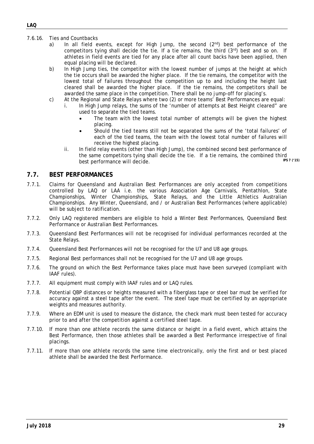- 7.6.16. Ties and Countbacks
	- a) In all field events, except for High Jump, the second  $(2^{nd})$  best performance of the competitors tying shall decide the tie. If a tie remains, the third  $(3<sup>rd</sup>)$  best and so on. If athletes in field events are tied for any place after all count backs have been applied, then equal placing will be declared.
	- b) In High Jump ties, the competitor with the lowest number of jumps at the height at which the tie occurs shall be awarded the higher place. If the tie remains, the competitor with the lowest total of failures throughout the competition up to and including the height last cleared shall be awarded the higher place. If the tie remains, the competitors shall be awarded the same place in the competition. There shall be no jump-off for placing's.
	- c) At the Regional and State Relays where two (2) or more teams' Best Performances are equal:
		- i. In High Jump relays, the sums of the 'number of attempts at Best Height cleared" are used to separate the tied teams.
			- The team with the lowest total number of attempts will be given the highest placing.
			- Should the tied teams still not be separated the sums of the 'total failures' of each of the tied teams, the team with the lowest total number of failures will receive the highest placing.
		- ii. In field relay events (other than High Jump), the combined second best performance of the same competitors tying shall decide the tie. If a tie remains, the combined third<br>best performance will decide best performance will decide.

### **7.7. BEST PERFORMANCES**

- 7.7.1. Claims for Queensland and Australian Best Performances are only accepted from competitions controlled by LAQ or LAA i.e. the various Association Age Carnivals, Pentathlon, State Championships, Winter Championships, State Relays, and the Little Athletics Australian Championships. Any Winter, Queensland, and / or Australian Best Performances (where applicable) will be subject to ratification.
- 7.7.2. Only LAQ registered members are eligible to hold a Winter Best Performances, Queensland Best Performance or Australian Best Performances.
- 7.7.3. Queensland Best Performances will not be recognised for individual performances recorded at the State Relays.
- 7.7.4. Queensland Best Performances will not be recognised for the U7 and U8 age groups.
- 7.7.5. Regional Best performances shall not be recognised for the U7 and U8 age groups.
- 7.7.6. The ground on which the Best Performance takes place must have been surveyed (compliant with IAAF rules).
- 7.7.7. All equipment must comply with IAAF rules and or LAQ rules.
- 7.7.8. Potential QBP distances or heights measured with a fiberglass tape or steel bar must be verified for accuracy against a steel tape after the event. The steel tape must be certified by an appropriate weights and measures authority.
- 7.7.9. Where an EDM unit is used to measure the distance, the check mark must been tested for accuracy prior to and after the competition against a certified steel tape.
- 7.7.10. If more than one athlete records the same distance or height in a field event, which attains the Best Performance, then those athletes shall be awarded a Best Performance irrespective of final placings.
- 7.7.11. If more than one athlete records the same time electronically, only the first and or best placed athlete shall be awarded the Best Performance.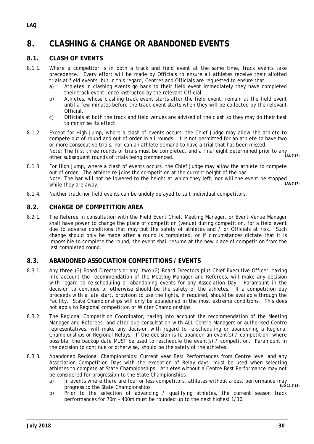### **8. CLASHING & CHANGE OR ABANDONED EVENTS**

### **8.1. CLASH OF EVENTS**

- 8.1.1. Where a competitor is in both a track and field event at the same time, track events take precedence. Every effort will be made by Officials to ensure all athletes receive their allotted trials at field events, but in this regard, Centres and Officials are requested to ensure that:
	- a) Athletes in clashing events go back to their field event immediately they have completed their track event, once instructed by the relevant Official.
	- b) Athletes, whose clashing track event starts after the field event, remain at the field event until a few minutes before the track event starts when they will be collected by the relevant Official.
	- c) Officials at both the track and field venues are advised of the clash so they may do their best to minimise its effect.
- 8.1.2. Except for High Jump, where a clash of events occurs, the Chief Judge may allow the athlete to compete out of round and out of order in all rounds. It is not permitted for an athlete to have two or more consecutive trials, nor can an athlete demand to have a trial that has been missed. Note: The first three rounds of trials must be completed, and a final eight determined prior to any other subsequent rounds of trials being commenced. *LAA ('17)*
- 8.1.3 For High Jump, where a clash of events occurs, the Chief Judge may allow the athlete to compete out of order. The athlete re-joins the competition at the current height of the bar. Note: The bar will not be lowered to the height at which they left, nor will the event be stopped<br>while they are away while they are away.
- 8.1.4. Neither track nor field events can be unduly delayed to suit individual competitors.

### **8.2. CHANGE OF COMPETITION AREA**

8.2.1. The Referee in consultation with the Field Event Chief, Meeting Manager, or Event Venue Manager shall have power to change the place of competition (venue) during competition, for a field event due to adverse conditions that may put the safety of athletes and / or Officials at risk. Such change should only be made after a round is completed, or if circumstances dictate that it is impossible to complete the round, the event shall resume at the new place of competition from the last completed round.

### **8.3. ABANDONED ASSOCIATION COMPETITIONS / EVENTS**

- 8.3.1. Any three (3) Board Directors or any two (2) Board Directors plus Chief Executive Officer, taking into account the recommendation of the Meeting Manager and Referees, will make any decision with regard to re-scheduling or abandoning events for any Association Day. Paramount in the decision to continue or otherwise should be the safety of the athletes. If a competition day proceeds with a late start, provision to use the lights, if required, should be available through the Facility. State Championships will only be abandoned in the most extreme conditions. This does not apply to Regional competition or Winter Championships.
- 8.3.2. The Regional Competition Coordinator, taking into account the recommendation of the Meeting Manager and Referees, and after due consultation with ALL Centre Managers or authorised Centre representatives, will make any decision with regard to re-scheduling or abandoning a Regional Championships or Regional Relays. If the decision is to abandon an event(s) / competition, where possible, the backup date MUST be used to reschedule the event(s)  $/$  competition. Paramount in the decision to continue or otherwise, should be the safety of the athletes.
- 8.3.3. Abandoned Regional Championships: Current year Best Performances from Centre level and any Association Competition Days with the exception of Relay days, must be used when selecting athletes to compete at State Championships. Athletes without a Centre Best Performance may not be considered for progression to the State Championships.
	- a) In events where there are four or less competitors, athletes without a best performance may<br>progress to the State Championships progress to the State Championships.
	- b) Prior to the selection of advancing / qualifying athletes, the current season track performances for 70m – 400m must be rounded up to the next highest 1/10.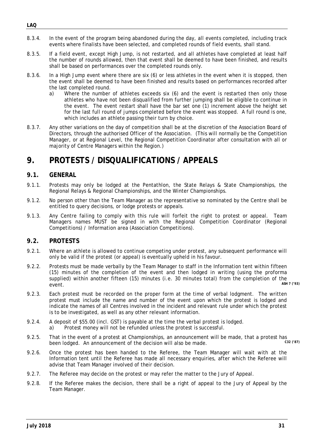- 8.3.4. In the event of the program being abandoned during the day, all events completed, including track events where finalists have been selected, and completed rounds of field events, shall stand.
- 8.3.5. If a field event, except High Jump, is not restarted, and all athletes have completed at least half the number of rounds allowed, then that event shall be deemed to have been finished, and results shall be based on performances over the completed rounds only.
- 8.3.6. In a High Jump event where there are six (6) or less athletes in the event when it is stopped, then the event shall be deemed to have been finished and results based on performances recorded after the last completed round.
	- a) Where the number of athletes exceeds six (6) and the event is restarted then only those athletes who have not been disqualified from further jumping shall be eligible to continue in the event. The event restart shall have the bar set one (1) increment above the height set for the last full round of jumps completed before the event was stopped. A full round is one, which includes an athlete passing their turn by choice.
- 8.3.7. Any other variations on the day of competition shall be at the discretion of the Association Board of Directors, through the authorised Officer of the Association. (This will normally be the Competition Manager, or at Regional Level, the Regional Competition Coordinator after consultation with all or majority of Centre Managers within the Region.)

### **9. PROTESTS / DISQUALIFICATIONS / APPEALS**

### **9.1. GENERAL**

- 9.1.1. Protests may only be lodged at the Pentathlon, the State Relays & State Championships, the Regional Relays & Regional Championships, and the Winter Championships.
- 9.1.2. No person other than the Team Manager as the representative so nominated by the Centre shall be entitled to query decisions, or lodge protests or appeals.
- 9.1.3. Any Centre failing to comply with this rule will forfeit the right to protest or appeal. Team Managers names MUST be signed in with the Regional Competition Coordinator (Regional Competitions) / Information area (Association Competitions).

### **9.2. PROTESTS**

- 9.2.1. Where an athlete is allowed to continue competing under protest, any subsequent performance will only be valid if the protest (or appeal) is eventually upheld in his favour.
- 9.2.2. Protests must be made verbally by the Team Manager to staff in the Information tent within fifteen (15) minutes of the completion of the event and then lodged in writing (using the proforma supplied) within another fifteen (15) minutes (i.e. 30 minutes total) from the completion of the<br>  $\frac{45HZ(293)}{45HZ(293)}$ event. *ASH 7 ('93)*
- 9.2.3. Each protest must be recorded on the proper form at the time of verbal lodgment. The written protest must include the name and number of the event upon which the protest is lodged and indicate the names of all Centres involved in the incident and relevant rule under which the protest is to be investigated, as well as any other relevant information.
- 9.2.4. A deposit of \$55.00 (incl. GST) is payable at the time the verbal protest is lodged. a) Protest money will not be refunded unless the protest is successful.
- 9.2.5. That in the event of a protest at Championships, an announcement will be made, that a protest has been lodged. An announcement of the decision will also be made. been lodged. An announcement of the decision will also be made.
- 9.2.6. Once the protest has been handed to the Referee, the Team Manager will wait with at the Information tent until the Referee has made all necessary enquiries, after which the Referee will advise that Team Manager involved of their decision.
- 9.2.7. The Referee may decide on the protest or may refer the matter to the Jury of Appeal.
- 9.2.8. If the Referee makes the decision, there shall be a right of appeal to the Jury of Appeal by the Team Manager.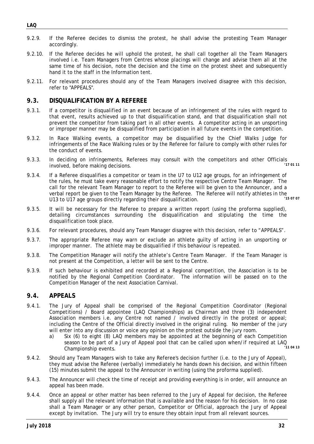- 9.2.9. If the Referee decides to dismiss the protest, he shall advise the protesting Team Manager accordingly.
- 9.2.10. If the Referee decides he will uphold the protest, he shall call together all the Team Managers involved i.e. Team Managers from Centres whose placings will change and advise them all at the same time of his decision, note the decision and the time on the protest sheet and subsequently hand it to the staff in the Information tent.
- 9.2.11. For relevant procedures should any of the Team Managers involved disagree with this decision, refer to "APPEALS".

### **9.3. DISQUALIFICATION BY A REFEREE**

- 9.3.1. If a competitor is disqualified in an event because of an infringement of the rules with regard to that event, results achieved up to that disqualification stand, and that disqualification shall not prevent the competitor from taking part in all other events. A competitor acting in an unsporting or improper manner may be disqualified from participation in all future events in the competition.
- 9.3.2. In Race Walking events, a competitor may be disqualified by the Chief Walks Judge for infringements of the Race Walking rules or by the Referee for failure to comply with other rules for the conduct of events.
- 9.3.3. In deciding on infringements, Referees may consult with the competitors and other Officials<br>involved before making decisions involved, before making decisions.
- 9.3.4. If a Referee disqualifies a competitor or team in the U7 to U12 age groups, for an infringement of the rules, he must take every reasonable effort to notify the respective Centre Team Manager. The call for the relevant Team Manager to report to the Referee will be given to the Announcer, and a verbal report be given to the Team Manager by the Referee. The Referee will notify athletes in the<br>113 to 117 cas groups directly recording their discussification. U13 to U17 age groups directly regarding their disqualification. *'15 07 07*
- 9.3.5. It will be necessary for the Referee to prepare a written report (using the proforma supplied), detailing circumstances surrounding the disqualification and stipulating the time the disqualification took place.
- 9.3.6. For relevant procedures, should any Team Manager disagree with this decision, refer to "APPEALS".
- 9.3.7. The appropriate Referee may warn or exclude an athlete guilty of acting in an unsporting or improper manner. The athlete may be disqualified if this behaviour is repeated.
- 9.3.8. The Competition Manager will notify the athlete's Centre Team Manager. If the Team Manager is not present at the Competition, a letter will be sent to the Centre.
- 9.3.9. If such behaviour is exhibited and recorded at a Regional competition, the Association is to be notified by the Regional Competition Coordinator. The information will be passed on to the Competition Manager of the next Association Carnival.

### **9.4. APPEALS**

- 9.4.1. The Jury of Appeal shall be comprised of the Regional Competition Coordinator (Regional Competitions) / Board appointee (LAQ Championships) as Chairman and three (3) independent Association members i.e. any Centre not named / involved directly in the protest or appeal; including the Centre of the Official directly involved in the original ruling. No member of the jury will enter into any discussion or voice any opinion on the protest outside the jury room.
	- a) Six (6) to eight (8) LAQ members may be appointed at the beginning of each Competition season to be part of a Jury of Appeal pool that can be called upon when/if required at LAQ<br>Championship quante Championship events.
- 9.4.2. Should any Team Managers wish to take any Referee's decision further (i.e. to the Jury of Appeal), they must advise the Referee (verbally) immediately he hands down his decision, and within fifteen (15) minutes submit the appeal to the Announcer in writing (using the proforma supplied).
- 9.4.3. The Announcer will check the time of receipt and providing everything is in order, will announce an appeal has been made.
- 9.4.4. Once an appeal or other matter has been referred to the Jury of Appeal for decision, the Referee shall supply all the relevant information that is available and the reason for his decision. In no case shall a Team Manager or any other person, Competitor or Official, approach the Jury of Appeal except by invitation. The Jury will try to ensure they obtain input from all relevant sources.